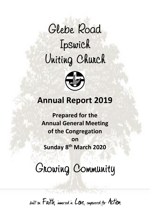# *Glebe Road Ipswich Uniting Church*



## **Annual Report 2019**

**Prepared for the Annual General Meeting of the Congregation on Sunday 8 th March 2020**

*Growing Community* 

built on Faith, immersed in Love, empowered for Action

**Present and Property Committee Press**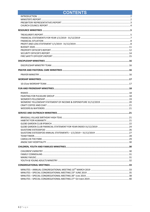## **CONTENTS**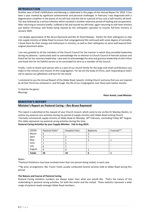#### <span id="page-2-0"></span>**INTRODUCTION**

Another year of God's faithfulness and blessing is celebrated in the pages of this Annual Report for 2019. It has been a year marked by significant achievements and personal challenges. In February I was diagnosed with a degenerative condition in the bones of my left foot and this led to a period of four and a half months off work. This was followed by a serious infection which resulted in another extensive period of healing and recuperation. After returning to ministry briefly I suffered a fall and injured my left knee, again returning to half-time ministry just before Christmas and finally being cleared by the orthopedic specialist to resume full-time ministry in January 2020.

I am deeply appreciative of Rev Bruce Raymond and Rev Dr David Mackay - Rankin for their willingness to step into supply ministry at Glebe Road to ensure that congregational life continued with some degree of normality. I thank them for their energy and enthusiasm in ministry, as well as their willingness to serve well beyond their original placement dates.

I am very grateful to all the members of the Church Council for the manner in which they provided leadership during my absence. I particularly wish to acknowledge the re-election to Church Council of Hannah Jackson and thank her for her visionary leadership. I also wish to acknowledge the wise and gracious leadership of John Fisher and thank him for his faithful service as he concluded his term as a member of the Council.

Finally, I wish to thank each person who is a part of our church family for the large and small contributions you make to the ministry and mission of the Congregation. For we are the body of Christ, each responding to God's call to express our giftedness and love for the world.

I commend to you the Annual Report of the Glebe Road, Ipswich, Uniting Church and pray that you are inspired by all that Christ has achieved in, and through, the life of our Congregation over these past twelve months.

To God be the glory! Blessings

#### *Peter Arnett, Lead Minister*

#### <span id="page-2-1"></span>**MINISTER'S REPORT**

#### **Minister's Report on Pastoral Caring – Rev Bruce Raymond**

This report is submitted at the request of your Church Council, which came to me via Rev Dr MacKay-Rankin, to outline my pastoral care activities during my period of supply ministry with Glebe Road Uniting Church. I formally commenced supply ministry at Glebe Road on Monday, 18th February, concluding Friday 30th August. This table represents my pastoral caring activities during this time.

#### **Pastoral Caring Activities by your Supply Minister. Feb to Aug 2019.**

| (2019)        | Pastoral Visits* | <b>Hospital Visits</b> | <b>Baptisms</b> | Funerals** |
|---------------|------------------|------------------------|-----------------|------------|
| March         |                  |                        |                 |            |
| April         |                  |                        |                 | ۰          |
| May           |                  |                        |                 |            |
| June          |                  |                        |                 |            |
| July          | 6                |                        |                 | ۰          |
| August        | 4                | 4                      |                 | ۰          |
| <b>Totals</b> | 34               | 10                     |                 |            |

Notes:

\*Pastoral Visitations may have involved more than one person being visited, in each case.

\*\*By prior arrangement, Rev Trevor Foote usually conducted funeral services held at Glebe Road during this period.

#### **The Nature and Course of Pastoral Caring.**

Pastoral Caring visitation numbers are always lower than what one would like. That's the nature of the undertaking in pastoral caring activities, for both the visitor and the visited. These statistics represent a wide range of pastoral needs amongst Glebe Road members.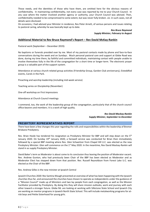Those needs, and the identities of those who have them, are omitted here for the obvious reasons of confidentiality. In maintaining confidentiality, not every case was reported by me to your Church Council. In any case where the matter involved another agency or authority, your Church Council was advised. Then, confidentiality needed to be compromised to some extent, but was never fully broken. *viz.* in such cases, not all details were disclosed.

On occasions, I had advised your Minister in residence, Rev Peter Arnett, of various persons and issues relating to pastoral caring, whereby he was basically kept up to date.

> *Rev Bruce Raymond Supply Minister, February to August*

#### **Additional Material to Rev Bruce Raymond's Report – Rev David McKay-Rankin**

Pastoral work (September – December 2019):

No baptisms or funerals presided over by me. Most of my pastoral contacts made by phone and face-to-face conversations during the week and on Sundays. Much personal pastoral care and support at Glebe Road was done, during my time there, by faithful and committed individuals, maintaining contact with people unable to involve themselves fully in the life of the congregation for a short time or longer-term. The electronic prayer group is a valuable part of the support system.

Attendance at various church-related group activities (Friendship Group, Garden Club anniversary), Eisteddfod events, Carols in the Park.

Preaching and worship leadership (including mid-week service)

Teaching series on Discipleship (November)

One-off workshop on First Impressions

Attendance at Church Council meetings

I commend, too, the work of the leadership group of the congregation, particularly that of the church council office-bearers and members. It is a work of high quality.

> *Rev David Mackay-Rankin Supply Minister, September to December*

#### <span id="page-3-0"></span>**PRESBYTERY REPRESENTATIVES REPORT**

There have been a few changes this year regarding the rolls and responsibilities within the leadership of Bremer Brisbane Presbytery.

Rev. Brian Hoole has tendered his resignation as Presbytery Minister for BBP and will step down on the 5<sup>th</sup> January 2020. On Sunday 19<sup>th</sup> January 2020, a farewell service was conducted for Brian then immediately followed by a special BBP meeting where Rev. Glen Schweitzer from Chapel Hill U.C. was elected as the new Presbytery Minister. Glen will commence on the 1<sup>st</sup> May 2020. In the meantime, Rev David Mackay-Rankin will stand in as supply Presbytery Minister.

David Baker's term as Moderator is about come to its conclusion thus leaving the position of Moderator vacant. Rev. Andrew Gunton, who had previously been Chair of the BBP has been elected as Moderator and as Moderator Elect has stepped down from that position. Rev. Russell Reynoldson from Forest Lake U.C. was elected as the Chair of the BBP.

Rev. Andrew Gilles is the new minister at Ipswich Central

Ipswich Churches 2020: Rev Santina Waugh presented an overview of what has been happening with the Ipswich churches thus far, and announced the churches have chosen to operate as independents under the guidance of a "Mission Council" made up of Ministers and two lay people from each congregation, as well as the Mission Facilitator provided by Presbytery. By doing this they will share mission outlooks, work and journey with each other toward a stronger future. Glebe Rd. are looking at working with Silkstone State School and Ipswich City are working on mentor programs in Ipswich North State School. This will include metalworking programs for atrisk boys and Petite Sisterhood for young girls.

.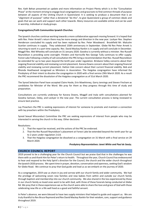Rev. Kath Behan presented an update and more information on Project Plenty which is in the "Consultation Phase" at the moment striving to engage local congregations and grassroots to find common threads of purpose between all aspects of the Uniting Church in Queensland. It is seeking to produce a document that is an "alignment of purpose" rather than a dictatorial "do this", to give Queensland a group of common ideals and goals that we can work and support each other towards. Many resources are available online and can be used in worship, individual or study groups.

#### **Congregations/Faith Communities Ipswich Churches**.

The Ipswich churches continue working towards a more collaborative approach moving forward. It is hoped that with Rev. Peter Arnett's return there may be more energy and direction in the new year. Lockyer Rev. Stephen Henderson concluded his supply and has been replaced by Rev. Peter Woodward. Brookfield Mr. Malcolm Scanlan continues in supply. They celebrated 150th anniversary in September. Glebe Rd Rev Peter Arnett is returning to work in a part time capacity. Rev. David Mackay Rankin is in supply and will conclude in December. Moggill Rev. Mel Wheeley will conclude on 31 January 2020. Goodna is currently without a minister. Rev Russell Reynoldson is providing some oversight. Flinders and Harrisville Rev George Tully continues to offer supply. Forest Lake Following a vitality of call consultation the PRC bring a recommendation that Rev. Russell Reynoldson be extended for up to two years beyond the tenth year under regulation. Brisbane Valley concerns about their ongoing financial viability and reviewing current placement. Karana Downs concern about their ongoing financial viability and reviewing current placement. Hatton Vale concern about their current financial viability. Bob and Rhonda Heathwood recognised as Ministers in Association. The Haigslea congregation have informed the Presbytery of their intent to dissolve the congregation in 2020 with a final service 29th March 2020. As a result the PRC recommend the dissolution of the Haigslea congregation as of 31st March 2020.

The Synod Selection Panel have accepted Claire Hoole, Erin Mawhinney, Garry Jennings and Steven Fincham as candidates for Minister of the Word. We pray for them as they progress through this time of study and preparation.

Consultations are currently underway for Karana Downs, Moggill and Inala with consultations planned for Goodna Samoan, Oxley, and Lockyer in the new year. The current consultation process is being reviewed to ensure best practice.

Lay Preachers the PRC is seeking expressions of interest for someone to promote and maintain a connection with lay preachers within the Presbytery.

Synod Sexual Misconduct Committee the PRC are seeking expressions of interest from people who may be interested in serving the church in this way. Other decisions:

Resolutions:

- 1. That the report be received, and the actions of the PRC be endorsed.
- 2. That the Rev Russell Reynoldson's placement at Forest Lake be extended beyond the tenth year for up to 2 years under regulation 2.6.8.
- 3. That the Haigslea congregation be dissolved as a congregation on 31 March with a final service on 29 March 2020.

#### *Presbytery Representatives: Janet White and Paul de Sauty.*

#### <span id="page-4-0"></span>**CHURCH COUNCIL REPORT**

2019 proved to be a challenging year for the Church Council but we praise God that in the challenges he was there with us and thank Him for Peter's return to health. Throughout the year, Church Council has endeavoured to hear and respond to the Holy Spirit's direction for the Council, the church and the wider church throughout the Ipswich 2020 process. We spent time in prayer, devotion, conversation and openness, seeking God's wisdom for Glebe Road. We continue to pray that God guide and lead us as we embark on the journey of 2020.

As a congregation, 2019 saw us share in joy and sorrow with our church family and wider community. We had the privilege of welcoming seven new families and new babies from within and outside our church family through baptism and membership into our church community. We also shared in the loss experienced by those in our church family as loved ones went to be with God, with three of these funerals being conducted at Glebe Rd. We pray that in these experiences we as the church were able to share the love and grace of God with those celebrating new life or a life well lived as a good and faithful servant.

In Peter's absence, we were blessed to have two supply ministers that helped to guide and support us. We are truly thankful to Rev Bruce Raymond and Rev David Mackay Rankin for their wisdom, care, support and guidance throughout 2019.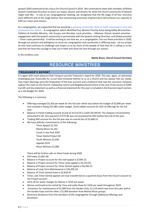Ipswich 2020 continued to be a focus for Church Council in 2019. We continued to meet with members of fellow Ipswich Combined Churches to share our hopes, desires and dreams for what the church community of Ipswich might look like. In July at our congregational meeting, we recognised that the life stage of all four churches were different and at this stage believe that maintaining autonomy of governance will enhance our capacity to fulfil our vision and mission.

As a congregation, we supported that we would be *a growing community* 'built on Faith, immersed in Love and empowered for Action'. A congregation which identified four Mission Priority Areas being Glebe Rd priorities - Children & Families Ministry, Life Groups and Worship; Local priorities – Silkstone School; Ipswich priorities engagement with the Ipswich community in partnership with the Ipswich Uniting Churches; and Global priorities – Timor Leste partnership. It will be exciting to see how we, as a congregation, live out these priorities in 2020, through our passion and willingness to serve our congregation and community in differing ways. Let our prayer be that God continues to challenge and inspire us to be more of the people of God that He is calling us to be, and that we have the courage to step out in faith and show His love through our actions.

In His Limitless Love

#### *Nyleta Bruce, Church Council Secretary*

## RESOURCE MINISTRIES

#### <span id="page-5-1"></span><span id="page-5-0"></span>**TREASURER'S REPORT**

It is again with much pleasure that I bring to you the Treasurer's report for 2019. This was, again, an extremely challenging year financially for us but God remained faithful to us as a church and has always met our needs. Two major blessings were the finalisation of the loan account and a hailstorm that saw the insurance company replace the roofs on the Church, Fellowship Centre and Neighbourhood Centre at the cost of the excess of \$500. A profit and loss statement as well as a financial statement for the year is included in the financial report section, as is the Budget for 2020.

The following is a summary:

- Offerings averaged \$3,356 per week for the full year which was below the budget of \$3,846 per week and resulted in being \$25,485 under budget. Direct debits account for 62% of offerings for the full year.
- Balance in Parish trading account at end of 31/12/19 is credit \$9,549.69. The cheques not presented amounted to \$0. One payment of \$75.96 was not processed by ANZ before the end of the year.
- Trading ANZ account for the full year was an overall loss of \$5,406.51.
- We have definite commitments of the following:

Timor Appeal \$1,702 Mainly Music \$1,242 Carols in the Park \$587 Timor Dental Project \$0 Youth Ministry \$1,030 Appeals \$231 Music Ministry \$1,000

There will be further calls on these funds during 2020.

- ATO owes \$1,897.00.
- Balance in Project account for the roof appeal is \$2395.31.
- Balance in Project account for Timor Leste appeal is \$5,233.03.
- Balance of Project account for Timor Dental appeal is \$6,299.25.
- Balance of Long-Term Maintenance is \$16,205.54
- Balance of Timor Dental Grant is \$2,818.91
- Timor, and Timor Dental appeals are now transferred on a quarterly basis from the Church account to the Project account.
- \$474.18 for water charges for Manse in 2019 are owed.
- Manse continued to be rented by Tony and Lydia Shaw for \$336 per week throughout 2019.
- Donations for maintenance of \$1,000 from the Garden Club, \$1,110 which was from the cake stall at the Garden Expo and the other a \$1,000 donation from Mainly Music groups.
- Generous donations from the members of the congregation through additional offerings and donations.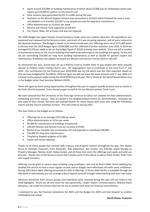- Spent around \$14,000 on building maintenance of which about \$5,000 was for Fellowship Centre wall repairs and \$4,000 for gutters on the Church roof.
- Solar systems have generated \$4,451 in credits during the year.
- Payments to the Mutual Support Scheme loan amounted to \$14,812 which finalised the loan in June and allowed us to transfer \$16,205 to our project account for long term maintenance.
- Office Administrator at 10 hours per week.
- Mission and Service Fund supported at \$29,657.
- Our Pastor, Mike, left at Easter and was not replaced.

The 2020 Budget was again framed around having to make some very realistic decisions. All expenditure was examined and reviewed by the Resource team, and much of it was on-going expenses, and all were reduced to the absolute minimum. The Budget is shown as an almost break even one. Offerings were set at \$175,000 which is the less than the 2019 Budget figure (\$200,000) and this reflected a further reduction over 2018. In 2019 we averaged \$3,356 per week so we set the budget figure of \$3320 as being more realistic. There are still a number of maintenance items on the church buildings that need to be addressed as the buildings are ageing. To this end we are committing \$14,000 for long term building maintenance as well as \$6,000 for general repairs and maintenance. Presbytery has slightly increased our Mission and Service Fund by \$550 to \$30,207.

As mentioned last year, Synod have set up a Redress Fund to enable them to pay people who were sexually abused as children under Uniting Church care. All congregations had to contribute to this fund from  $1<sup>st</sup>$  July 2019. Our contribution for the financial year 2019/2020 was \$2,158 which was less than expected. Based on that we have budgeted for \$2,500 for 2020 but again we will not know the exact amount until 1<sup>st</sup> July 2020 as it is based on the payouts made during the 2019/2020 financial year. This is shown as the Synod Sexual Abuse Levy in the Budget rather than Sensitive Matters (2019).

There will again be fund raising opportunities throughout the year to support specific projects such as Carols in the Park, Church purposes, Timor Dental project as well as for our Mission partner Timor Leste.

We were pleased that the University of the Third Age continue to utilise our complex for their administration, computing and other classes. They are based in the Neighbourhood Centre for administration, computer lab and some of their classes, but have also utilised Shalom for many classes with some also using the Fellowship Centre and the Church overflow at times. This will continue during 2020.

The main items in the budget are as follows:

- Offerings set at an average of \$3,320 per week
- Office Administration at 10 hrs per week
- \$6,000 for maintenance of buildings and grounds.
- \$30,207 Mission and Service Fund (an increase of \$550).
- Rental of our complex was increased by CPI and expected to contribute \$30,000.
- \$14,000 for long term maintenance.
- Chaplaincy Support program of \$1,000.
- Pastor will not be replaced.

Thanks to all those people that assisted with treasury and property matters throughout the year, Mrs Nyleta Bruce as Assistant Treasurer, Colin Alexander, Rob Edwardson, Ken Fischer, Jim O'Grady, David Murphy as Property Manager, Marilyn Scott, Robyn Kunde, and all those that count the offerings each week and tend our grounds. Thanks also to the Resource team that includes some of the above as well as Peter Arnett, Peter Case and Supply ministers.

Offerings can be given in various ways including using envelopes, cash and by Direct Debit. Direct debiting has enabled the church to have a more regular income and to budget more effectively and with some confidence. During 2019 direct debit offering accounted for 62% of offerings. A Direct debit facility is available through the ANZ Bank or alternatively you can arrange a direct deposit yourself through online banking with your own bank.

Generous donations from various groups and individuals were received during the year and are listed in the 2018 highlights. Thank you all very much for your generosity, I hope I haven't omitted anyone. Without these donations, we could not achieve what we set out to achieve and meet our financial commitments.

I commend to you the financial statements for 2019 and the Budget for 2020 and look forward to another challenging year ahead.

#### *Derek Hirons, Treasurer*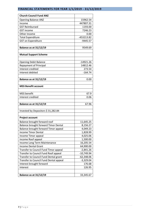## <span id="page-7-0"></span>**FINANCIAL STATEMENTS FOR YEAR 1/1/2019 - 31/12/2019**

| <b>Church Council Fund ANZ</b>         |              |
|----------------------------------------|--------------|
| <b>Opening Balance ANZ</b>             | 15962.54     |
| Income                                 | 447807.31    |
| <b>GST Reimbursed</b>                  | 1193.00      |
| <b>GST</b> income                      | 7246.23      |
| Other Income                           | 0.00         |
| <b>Total Expenditure</b>               | -453213.82   |
| <b>GST on Expenditure</b>              | $-9445.57$   |
| <b>Balance as at 31/12/19</b>          | 9549.69      |
| <b>Mutual Support Scheme</b>           |              |
|                                        |              |
| <b>Opening Debit Balance</b>           | $-14921.26$  |
| <b>Repayment of Principal</b>          | 14812.46     |
| Interest credited                      | 273.54       |
| Interest debited                       | $-164.74$    |
| <b>Balance as at 31/12/19</b>          | 0.00         |
| <b>MSS Benefit account</b>             |              |
| <b>MSS</b> benefit                     | 67.9         |
| Interest credited                      | 0.06         |
| <b>Balance as at 31/12/19</b>          | 67.96        |
| Invested by Depositors \$31,282.84     |              |
| <b>Project account</b>                 |              |
| Balance brought forward roof           | 11,645.25    |
| Balance brought forward Timor Dental   | 8,156.27     |
| Balance brought forward Timor appeal   | 4,049.23     |
| <b>Income Timor Dental</b>             | 1,828.99     |
| Income Timor appeal                    | 4,025.06     |
| Income Roof appeal                     | 1,500.00     |
| Income Long Term Maintenance           | 16,205.54    |
| <b>Income Dental Grant</b>             | 64,900.00    |
| Transfer to Council Fund Timor appeal  | $-2,841.26$  |
| Transfer to Council Fund Roof appeal   | $-10,749.94$ |
| Transfer to Council Fund Dental grant  | $-62,348.06$ |
| Transfer to Council Fund Dental appeal | $-3,329.04$  |
| Interest brought forward               | 176.68       |
| Interest                               | 126.95       |
| <b>Balance as at 31/12/19</b>          | 33,345.67    |
|                                        |              |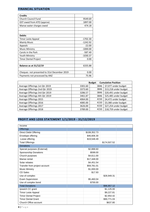#### <span id="page-8-0"></span>**FINANCIAL SITUATION**

| <b>Credits</b>                              |            |
|---------------------------------------------|------------|
| <b>Church Council Fund</b>                  | 9549.69    |
| GST owed from ATO (approx)                  | 1897.00    |
| Manse water charges owed                    | 474.18     |
|                                             |            |
|                                             |            |
| <b>Debits</b>                               |            |
| Timor Leste Appeal                          | $-1702.30$ |
| Mainly Music                                | -1242.92   |
| Appeals                                     | $-22.00$   |
| <b>Music Ministry</b>                       | $-1000.00$ |
| Carols in the Park                          | $-587.40$  |
| Youth Ministry                              | $-1030.37$ |
| Timor Dental Project                        | 0.00       |
|                                             |            |
| <b>Balance as at 31/12/19</b>               | 6335.88    |
|                                             |            |
| Cheques not presented to 31st December 2019 | 0.00       |
| Payments not processed by ANZ               | 75.96      |

| <b>Cumulative Position</b><br><b>Budget</b> |         |      |                       |  |
|---------------------------------------------|---------|------|-----------------------|--|
| Average Offerings 1st Qtr 2019              | 3301.60 | 3846 | \$7,077 under budget  |  |
| Average Offerings 2nd Qtr 2019              | 3373.60 | 3846 | \$13,218 under budget |  |
| Average Offerings 3rd Qtr 2019              | 3286.57 | 3846 | \$20,491 under budget |  |
| Average Offerings 4th Qtr 2019              | 3461.87 | 3846 | \$25,485 under budget |  |
| Average Offerings 2015                      | 4064.00 | 4150 | \$4,472 under budget  |  |
| Average Offerings 2016                      | 4085.00 | 4150 | \$3,380 under budget  |  |
| Average Offerings 2017                      | 3626.00 | 4150 | \$27,254 under budget |  |
| Average Offerings 2018                      | 3789.00 | 4150 | \$18,759 under budget |  |

### <span id="page-8-1"></span>**PROFIT AND LOSS STATEMENT 1/1/2019 - 31/12/2019**

| Income                        |              |              |  |
|-------------------------------|--------------|--------------|--|
| <b>Offerings</b>              |              |              |  |
| <b>Direct Debit Offering</b>  | \$108,352.73 |              |  |
| Envelope offering             | \$46,606.30  |              |  |
| Loose offering                | \$19,548.49  |              |  |
| <b>Total Offerings</b>        |              | \$174,507.52 |  |
| <b>Donations</b>              |              |              |  |
| Special purposes (External)   | \$2,888.60   |              |  |
| Sponsorship Donations         | \$599.00     |              |  |
| Church purposes               | \$4,611.00   |              |  |
| Manse rental                  | \$17,448.00  |              |  |
| Solar rebates                 | \$4,451.54   |              |  |
| Transfer from project account | \$59,781.01  |              |  |
| <b>Music Ministry</b>         | \$1,000.00   |              |  |
| <b>CD Sales</b>               | \$17.93      |              |  |
| Use of complex                |              | \$28,949.31  |  |
| <b>Exam Supervision</b>       | \$5,460.04   |              |  |
| Use of complex bond           | \$700.00     |              |  |
| <b>Total Donations</b>        |              | \$96,957.12  |  |
| Ipswich CC grant              |              | \$1,125.00   |  |
| <b>Timor Leste Appeal</b>     |              | \$9,227.81   |  |
| <b>Timor Dental Project</b>   |              | \$2,954.42   |  |
| <b>Timor Dental Grant</b>     |              | \$90,771.03  |  |
| Church Office account         |              | \$637.80     |  |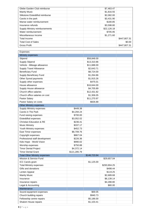| Glebe Garden Club reimburse    | \$7,463.47  |              |
|--------------------------------|-------------|--------------|
| <b>Mainly Music</b>            | \$1,816.55  |              |
| Silkstone Eisteddfod reimburse | \$2,082.00  |              |
| Carols in the park             | \$3,431.90  |              |
| Manse water reimbursement      | \$180.85    |              |
| Insurance refunds              | \$3,598.80  |              |
| Supply Ministry reimbursements | \$22,126.18 |              |
| Water reimbursement            | \$705.95    |              |
| Miscellaneous Income           | \$1,271.60  |              |
| Total Income                   |             | \$447,807.31 |
| <b>Total Cost of Sales</b>     |             | \$0.00       |
| Gross Profit                   |             | \$447,807,31 |

| Expenses                             |              |              |              |  |
|--------------------------------------|--------------|--------------|--------------|--|
| Ministry expenses                    |              |              |              |  |
| Stipend                              |              | \$58,848.00  |              |  |
| <b>Supply Stipend</b>                |              | \$13,310.86  |              |  |
| Vehicle - Mileage allowance          |              | \$11,688.00  |              |  |
| <b>Supply Travel Allowance</b>       |              | \$2,643.71   |              |  |
| <b>Beneficiary Fund</b>              |              | \$8,724.00   |              |  |
| Supply Beneficiary Fund              |              | \$1,264.86   |              |  |
| Other Synod payments                 |              | \$1,915.26   |              |  |
| Supply other expenses                |              | \$475.01     |              |  |
| House allowance                      |              | \$16,644.00  |              |  |
| Supply House allowance               |              | \$4,705.89   |              |  |
| Church office salaries               |              | \$12,431.82  |              |  |
| Church office salaries on cost       |              | \$1,306.05   |              |  |
| Pastor Salary                        |              | \$11,270.97  |              |  |
| Pastor Salary on costs               |              | \$826.88     |              |  |
| <b>Other Ministry expenses</b>       |              |              |              |  |
| <b>Supply Ministry expenses</b>      | \$449.38     |              |              |  |
| Carols in The Park                   | \$4,294.24   |              |              |  |
| Fund raising expenses                | \$700.00     |              |              |  |
| Eisteddfod expenses                  | \$3,052.02   |              |              |  |
| <b>Christian Education &amp; RE</b>  | \$236.41     |              |              |  |
| <b>Music Ministry</b>                | \$337.17     |              |              |  |
| Youth Ministry expenses              | \$452.73     |              |              |  |
| East Timor expenses                  | \$8,709.76   |              |              |  |
| Copyright expenses                   | \$867.04     |              |              |  |
| Professional staff development       | \$226.36     |              |              |  |
| Kids Hope - World Vision             | \$990.02     |              |              |  |
| Worship expenses                     | \$750.88     |              |              |  |
| <b>Timor Dental Project</b>          | \$4,372.14   |              |              |  |
| <b>Timor Dental Grant</b>            | \$121,285.79 |              |              |  |
| <b>Total Other Ministry expenses</b> |              | \$146,723.94 |              |  |
| Mission & Service Fund               |              |              | \$29,657.04  |  |
| ICC Carols grant                     |              | \$1,125.00   |              |  |
| <b>Total Ministry expenses</b>       |              |              | \$293,904.25 |  |
| Gifts and donations                  |              |              | \$498.44     |  |
| Lenten Appeal                        |              |              | \$119.25     |  |
| <b>Mainly Music</b>                  |              |              | \$2,689.68   |  |
| Insurance                            |              |              | \$6,139.14   |  |
| Insurance repairs                    |              |              | \$4,288.80   |  |
| Legal & Accounting                   |              |              | \$80.00      |  |
| Maintenance                          |              |              |              |  |
| Sound equipment expenses             |              | \$69.05      |              |  |
| Church building repairs              |              | \$940.73     |              |  |
| Fellowship centre repairs            |              | \$5,186.00   |              |  |
| Shalom House repairs                 |              | \$1,103.41   |              |  |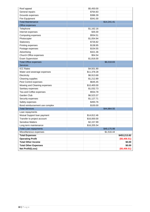| Roof appeal                    | \$5,450.00  |             |              |
|--------------------------------|-------------|-------------|--------------|
| General repairs                | \$764.83    |             |              |
| Grounds expenses               | \$386.39    |             |              |
| Fire Equipment                 | \$341.00    |             |              |
| <b>Total Maintenance</b>       |             | \$14,241.41 |              |
| Office expenses                |             |             |              |
| Telephone                      | \$1,162.16  |             |              |
| Internet expenses              | \$35.00     |             |              |
| Computing expenses             | \$554.51    |             |              |
| Photocopier                    | \$1,054.94  |             |              |
| Stationery                     | \$726.82    |             |              |
| Printing expenses              | \$138.95    |             |              |
| Postage expenses               | \$154.55    |             |              |
| Advertising                    | \$321.36    |             |              |
| Church Office expenses         | \$54.54     |             |              |
| Exam Supervision               | \$1,816.00  |             |              |
| <b>Total Office expenses</b>   |             | \$6,018.83  |              |
| <b>Services</b>                |             |             |              |
| <b>ICC Rates</b>               | \$4,501.90  |             |              |
| Water and sewerage expenses    | \$11,378.28 |             |              |
| Electricity                    | \$6,913.68  |             |              |
| Cleaning supplies              | \$1,212.89  |             |              |
| Pest Control expenses          | \$645.45    |             |              |
| Mowing and Cleaning expenses   | \$10,400.00 |             |              |
| Sanitary expenses              | \$1,032.73  |             |              |
| Tea and Coffee expenses        | \$554.78    |             |              |
| Garden Club                    | \$6,523.37  |             |              |
| Security expenses              | \$1,127.71  |             |              |
| Safety expenses                | \$493.76    |             |              |
| Bond reimbursement use complex | \$100.00    |             |              |
| <b>Total Services</b>          |             | \$44,884.55 |              |
| Loan repayments                |             |             |              |
| Mutual Support Ioan payment    | \$14,812.46 |             |              |
| Transfer to project account    | \$16,000.00 |             |              |
| <b>Sensitive Matters</b>       | \$2,157.99  |             |              |
| Long term maintenance          | \$16,205.54 |             |              |
| <b>Total Loan repayments</b>   |             | \$49,175.99 |              |
| Miscellaneous expenses         |             | \$1,516.44  |              |
| <b>Total Expenses</b>          |             |             | \$453,213.82 |
| <b>Operating Profit</b>        |             |             | (\$5,406.51) |
| <b>Total Other Income</b>      |             |             | \$0.00       |
| <b>Total Other Expenses</b>    |             |             | \$0.00       |
| Net Profit/(Loss)              |             |             | (\$5,406.51) |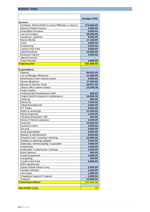<span id="page-11-0"></span>

|                                                      | Budget 2020        |
|------------------------------------------------------|--------------------|
| <b>Income</b>                                        |                    |
| Envelope, Direct Debit & Loose Offering (Av 3365/wk) | 175,000.00         |
| <b>Mission Partner Income</b>                        | 3,000.00           |
| <b>Eisteddfod Donation</b>                           | 3,000.00           |
| Use of Complex                                       | 30,000.00          |
| Donations, sundries,                                 | 5,000.00           |
| Manse Rental                                         | 17,160.00          |
| Grant                                                | 3,000.00           |
| Fundraising                                          | 2,500.00           |
| Carols in the Park                                   | 3,000.00           |
| Sales/Sundries                                       | 10,000.00          |
| <b>Insurance Claims</b>                              | 2,000.00           |
| interest income                                      |                    |
| <b>Solar Rebates</b>                                 | 4,000.00           |
| <b>Total Income</b>                                  | 257,660.00         |
|                                                      |                    |
| <b>Expenditure</b>                                   |                    |
| Stipend                                              | 60,202.00          |
| Car & Mileage Allowance                              | 11,688.00          |
| Beneficiary Fund / Synod Levies                      | 9,936.00           |
| House allowance                                      | 17,094.00          |
| Mission & Service Fund                               | 30,207.00          |
| Church office Admin Salary                           | 13,448.36          |
| Pastor Salary<br>Professional Development Staff      |                    |
|                                                      | 600.00             |
| Project fund for long term maintenance               | 14,000.00          |
| Catering<br>Electricity                              | 600.00<br>7,500.00 |
| Telephones/Internet                                  | 2,000.00           |
| <b>ICC Rates</b>                                     | 4,600.00           |
| Water & sewerage                                     | 11,640.00          |
| Manse Expense                                        | 1,200.00           |
| Christian Education / RE                             | 250.00             |
| <b>Mission Partner expenses</b>                      | 3,000.00           |
| Insurance                                            | 13,500.00          |
| <b>Insurance Claim</b>                               | 3,000.00           |
| Security                                             | 2,000.00           |
| Grant expenditure                                    | 3,000.00           |
| Repairs & Maintenance                                | 6,000.00           |
| Grounds Care / mowing / cleaning                     | 12,000.00          |
| Sanitary & cleaning supplies                         | 3,200.00           |
| Stationary / photocopying / copyrights               | 3,900.00           |
| Advertising                                          | 1,000.00           |
| leadership / conferences / retreats                  | 1,000.00           |
| <b>Music Ministry</b>                                | 500.00             |
| Sound Equipment                                      | 1,000.00           |
| Computing                                            | 500.00             |
| Carols in the Park                                   | 3,000.00           |
| <b>MSS repayments</b>                                |                    |
| Synod Sexual Abuse Levy                              | 2,500.00           |
| <b>Families Ministry</b>                             | 1,500.00           |
| Kids Hope                                            | 1,080.00           |
| Chaplancy Support Program                            | 1,000.00           |
| Sundries                                             | 10,000.00          |
| <b>Total Expenditure</b>                             | 257,645.36         |
|                                                      |                    |
| <b>Net Profit / Loss</b>                             | 15                 |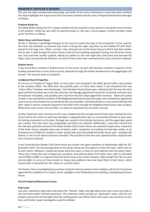#### <span id="page-12-0"></span>**PROPERTY OFFICER'S REPORT**

This year has been exceptionally demanding, and while all the minor maintenance issues have been omitted, this report highlights the major issues that I have been involved with this year as Property Maintenance Manager as follows:

#### **Property Break-ins:**

The Glebe Road Uniting Church is a large complex that has resulted in many break-ins during the time I've been in this position. Unlike last year with no reported break-ins, this year it would appear criminal intruders made up for lost time, as follows:

#### **Stolen Roses and Green House**

On the 1<sup>st</sup> February, Faye Wright had gone to the church to water the roses in the rose garden. To her surprise, the roses had vanished, as someone had come in during the night, dug them up and walked off with them, except for the large ones. When I arrived, I also ventured over to the Green House to find it had been broken into as well. A walk through the Green House could not find anything noticeably missing, and the Green House was resecured with another padlock. Would you believe it; the next night they came back and removed the larger roses, leaving only the Gerberas. As most of these roses were commemorative, they cannot be replaced.

#### **Shalom House**

It was found that a window in Shalom House on the centre car park side had been smashed. Inspection of the building revealed that no entry had occurred, especially through the broken window due to the jagged glass still present. This was put down to vandalism.

#### **Combined Church Properties**

At 2.41 am on Tuesday 6<sup>th</sup> August 2019, an entry alarm was activated in the GRUC general office, and another in the reception office. The office door was partially open, so Police were called. It was discovered that two "centre office" windows were found open. One had been found prized open, indicating that this was the entry point and the front door was in fact the exit point. No damage appeared to have been sustained, and only a box of fundraiser chocolates, and possibly some mail from the Kid's Hope pigeonhole removed. Before the police arrived, it was noticed that windows of the Neighbourhood Centre were also open, and a wheelie bin apparently used to access the windows but prevented by the security grilles. U3A advised that an unsuccessful attempt had been made to extract computer equipment and other items through the Neighbourhood Centre open window. While items were strewn onto the floor, no report of equipment loss has been received.

Further inspections were carried out and it was revealed that the exit glass/metal frame door leading from the church hall to the centre car park was damaged. It appeared there was an unsuccessful attempt to prise open the locking mechanism on the door. Damage was caused to the locking mechanism, and the upper glass panel was cracked. The entire door was unrepairable and had to be replaced. Additionally, it was later noticed that the side door pad-bolt and lock of the Glebe Garden Club's Green House was smashed to gain entry. Inspection of the Green House revealed many trays of plants, palms, equipment and potting mix had been stolen, at an estimated cost of \$855.00. Another 3-meter potted palm was still outside the Green House wall – probably left behind, as the church alarms had been activated. The pad-bolt on the door was repaired and/or replaced with more resistant materials.

It was found that the Garden Club Green House was broken into again sometime on Wednesday night the 18<sup>th</sup> November 2019. The only damage done to the Green House was the padlock on the front door, which was cut by bolt cutters. Whoever is doing this knows what they want, as they are very selective with the plants taken. These were mainly the trays of expensive succulents, and selected plants from other trays, with an estimated cost of \$500 to \$600. It is apparent that the Green House area is dark, however; light enough from the car park security lights to carry out these break-ins. Heavy duty padlocks have now been fitted to both doors, which should make it impossible for the culprits to use bolt cutters.

The Garden Club is investigating the purchase of special internal cameras to be installed, and Church Council has approved the installation of a motion sensor spotlight on the Fellowship Centre building, overlooking the Green House.

#### **Church Property Maintenance Issues:**

#### **Roof Leaks**

Last year I reported a large water leak above the "Notices" table, and right above that, there were rust holes in the roof where water had been pouring in. The contractor (John) carried out "patchwork" repair, with the rust problem worse than first thought when the roofing panels were lifted. Patch work repair was carried out at this time until further repair investigation could be initiated.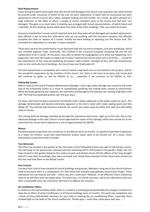#### **Roof Replacements**

It was during the patch work repair that John found roof damage to the church roof caused by hail, which should be covered under insurance; of which he has over 20 years' experience. A report with an associated cost were presented to Church Council who rubber stamped looking into this further. As a result, we were advised of a huge hailstorm in Feb 2018, of which a couple of church members were at the church and had their cars damaged. This gave us an exact date. A meeting was arranged with Synod representatives, of which Derek and I attended. At this meeting, Synod asked about the state of the other buildings. That, we could not answer.

Assessors checked the 3 rooves and all reported back that they were all hail damaged and needed replacement. How difficult it was to have this information and not say anything until the insurance company had officially accepted the claim to replace all 3 rooves. Initially we were looking at replacing just the church roof. This exceeded our expectation to now get 3 rooves replaced.

There were several non-conformance issues discussed with the insurance company, and who should pay, which also involved engineer input. Eventually, this resulted in the insurance company accepting full cost for the replacement of all 3 rooves. At this point I was able to advise the congregation as to what was happening. As it happened, John won the tender to replace all 3 rooves, however the church had a cost in all of this......to pay for the replacement of the rusty box guttering and power cable conduit. Amongst all this, with the maintenance costs on the roof and church buildings, the church loan was finally paid off.

The roof replacement is completed, and I wish to extend a big thank you to all involved in this project, and for the wonderful cooperation by the members of this church. Yes, there is still more to be done and I know God will continue to guide us and be faithful to us.......especially if we continue to be faithful to Him.

#### **Fellowship Centre:**

Before I took on the task of Property Maintenance Manager 7 years ago, water damage was caused to the inside wall of the Fellowship Centre as a result of rusted/faulty guttering and roofing holes caused at construction. While the faulty guttering was replaced, the roof holes and damage to the wall was not, leaving a big hole in the wall. This hole has expanded greatly over the past years.

For years, that hole has been covered by the Garden Club's white cupboards so the public could not see it. This damage deteriorated and became extremely apparent in the men's toilet with mold, peeling paint and tiles falling off. The internal wall structure towards the corner was eaten away by white ants with the wall falling away in chunks.

This rotting wall and damage travelled up through the mezzanine wall corner, right up to the roof. Due to the advanced damage to this wall, Church Council approved the repair of this damage, which was carried out at the same time the rooves were replaced at a cost of approximately \$5,500.00.

#### **Manse:**

Routine property inspections are carried out on the Manse every six months. It is good to have these inspections as it helps me monitor issues that need attention and/or repair work to be carried out. As a result, minor maintenance issues have been resolved.

#### **Tree Removals**

The Olive tree located in the garden at the front door of the Fellowship Centre was split in half during a storm. The half lying on the ground was removed and the remaining half is still located in the garden. Sadly, the 5 fir trees located in the garden between the centre car park and Shalom House felt the effects of the long drought and all 5 trees died. Accordingly, they were removed, and I thank those members of the church who carried out this task and took them to the Refuse Centre.

#### **Pest Control:**

Courtesy Pest Control have treated all church buildings and grounds. Members using any of the church kitchens need to be aware there is a combination of a fine white dust and jelly type globules around door hinges. These substances are low toxicity and safe – unless you are a cockroach. However, to be effective, these substances need to be left there and not wiped away. This work has a 12-month warranty, and if any infestations still exist after a reasonable time, the contractor will return to address the situation.

#### **Air Conditioner Filters:**

In relation to the Synod Safety Audit, there is a need for a working group (preferably the younger members) to clean the air filters of all Air Conditioners in all Church buildings every 12 months. This work was completed, and I thank all those able-bodied members for your help in cleaning the air conditioning filters, especially those situated high on the walls of the church auditorium. Thanks guys – same time, same place next year……!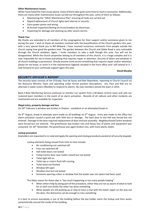#### **Other Maintenance Issues:**

While I have listed the main issues above, many of them take quite some time to reach a conclusion. Additionally, there are many other maintenance issues carried out throughout the year, some of them as follows:

- Maintaining the "GRUC Maintenance Plan" ensuring all tasks are carried out.
- Repair/replacement of Church lights beit internal or security.
- Extra power points and wiring
- Bi-Annual inspection/testing of circuit breakers by electrician.
- Inspecting for damage and cleaning up after severe storms.

#### **Thank You:**

My thanks are extended to all members of the congregation for their support and/or assistance given to me during the year. I wish to thank all members involved with the beautification of the Church gardens this year, with a very special thank you to Bill Milward. I have received numerous comments from people outside the church saying how good the gardens look. The garden between the Church and Glebe Road is very noticeable through the Church windows. Again, I invite members to take a walk though this area. You will not be disappointed. While the church properties belong to all members of this church, it is a huge complex and it is near impossible for me to know everything that requires repair or attention. Security of doors and windows in all church buildings is paramount. Should anyone come across something that requires repair and/or attention, please let me know, or write it in the maintenance logbook situated in the front office and I will attend to it. I look forward to your continued support again this year.

#### *David Murphy*

#### <span id="page-14-0"></span>**SECURITY OFFICER'S REPORT**

The security team consists of Jim O'Grady, Paul de Sauty and Rob Edwardson, reporting to Church Council via the Resource Ministry Team and operating under formal position descriptions. Jim, Paul and Rob are on alternate 2-week rosters (flexible) to respond to alarms. No new members joined the team in 2019.

Back-2-Base Monitoring Service continues to monitor our system from a Brisbane control room and calls our rostered team members in the event of an alarm activation. Records of all callouts and other incidents are maintained and are available for inspection.

#### **Illegal entry, property damage and loss**

On 20th February a window was broken in Shalom - vandalism or an attempted break-in.

On 6<sup>th</sup> August, break-in attempts were made on all buildings on 6<sup>th</sup> August. Entry was made to the office but alarm activation caused a quick exit with little loss or damage. The back door to the Hall was forced but not entered. Damage to the door required replacement of door and lock assembly. Neighbourhood Centre windows were forced but not entered. The greenhouse was broken into and heavy loss of plants and equipment was sustained. On 18<sup>th</sup> November, the greenhouse was again broken into, with more plants stolen.

#### **Lockup procedure**

*Keyholders are requested to re-read and apply the opening and closing procedures posted at all security keypads.* 

Lockup elements being missed from time to time include:

- Air conditioning not switched off.
- Fans not switched off
- Hall toilet doors not locked
- F/ship Centre door near toilets closed but not locked
- Toilet light left on
- Toilet tap or cistern flush left running
- Toilet bowl not flushed
- Window left open
- Window shut but not locked
- Someone opening a door or window that the leader was not aware had been used

The likely reason for these slips is "too much happening or too many people helping".

- When others help by doing part of the procedure, either they are not as aware of what to look for or each one thinks the other has done something.
- When people are still packing up or stop to have a chat with the locker-upper on the way out the door, the distraction can be enough to miss something.

It is best to ensure everybody is out of the building before the key holder starts the lockup and then works systematically around the inside of the building.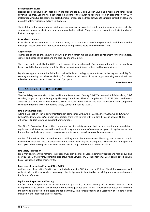#### **Prevention measures**

Heavier padlocks have been installed on the greenhouse by Glebe Garden Club and a movement sensor light covering the area. Cabling has been installed as part of the church re-roofing project in preparation for CCTV installation when funds become available. Removal of (dead) pine trees between the middle carpark and Shalom provides better visibility of activity in that area.

The isolation of the property from neighbours does not provide constant visible monitoring of suspicious activity, so any mechanical or electronic deterrents have limited effect. They reduce but do not eliminate the risk of further damage or loss.

#### **False alarm callouts**

False alarm callouts continue to be minimal owing to correct operation of the system and careful entry to the buildings. Gecko activity has reduced compared with previous years for unknown reasons.

#### **Appreciation**

Thanks are due to all those Keyholders who play their part in maintaining a safe environment for our members, visitors and other venue users and the security of our buildings.

This report looks much like the 2018 report because little has changed. Operations continue to go on quietly as before, with the team members fulfilling their roles with a minimum of fuss and high proficiency.

My sincere appreciation to Jim & Paul for their reliable and unflagging commitment in sharing responsibility for security monitoring and their availability for callouts at all hours of day or night, ensuring we maintain an effective service for protection of our GRUC property.

#### *Rob Edwardson*

#### <span id="page-15-0"></span>**FIRE SAFETY OFFICER'S REPORT**

**Team**

The Fire Safety team consists of Kent Wilkins and Peter Arnett, Deputy Chief Wardens and Rob Edwardson, Chief Warden, supported by the Emergency Planning Committee. The EPC complies with AS 3745 (WHS) and meets annually as a function of the Resource Ministry Team. Kent Wilkins and Rob Edwardson have completed certificated training with National Fire Safety Council in Brisbane (2018).

#### **Fire & Evacuation Plan**

A Fire & Evacuation Plan is being maintained in compliance with *Fire & Rescue Service Act 1990* and *Building Fire Safety Regulations 2008* and in consultation from time to time with Qld Fire & Rescue Service (QFRS) officers at Flinders View and Bundamba fire stations.

The Fire & Evacuation Plan is the comprehensive fire safety regime that includes equipment installation, equipment maintenance, inspection and monitoring, appointment of wardens, program of regular instruction for wardens and all group leaders, evacuation practices and prescribed records maintenance.

Copies of the written Plan tailored for each building are at the entrances to all buildings and a master copy is filed in the office safe. These are updated continually as necessary and are required to be available for inspection by a QFRS officer on request. Electronic copies are also kept in the church office and offsite.

#### **Fire Safety Instruction**

From May to July, annual refresher instruction was provided for all Glebe Rd ministry groups and regular building users such as U3A, playgroups martial arts, etc. by Rob Edwardson. Occasional venue users continue to be given basic instruction before their events.

#### **Emergency Evacuation Practice ("Fire Drill")**

An Emergency Evacuation Practice was conducted during the 10.15 service on 23 June. The drill was commenced without prior notice to wardens. As always, the drill proved to be effective, providing some valuable learning for future reference.

#### **Equipment Inspection and Testing**

All fire safety equipment is inspected monthly by Camillo, including testing of the smoke sensors. Fire extinguishers and blankets are checked 6-monthly by qualified contractors. Smoke sensor batteries are tested monthly and simulated smoke tests are done annually. The rental property at 3 Cassowary St Flinders View is included in the inspection and test regime.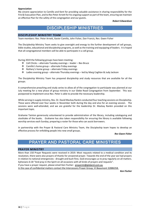#### **Appreciation**

My sincere appreciation to Camillo and Kent for providing valuable assistance in sharing responsibility for the Fire & Evacuation Plan, and to Rev Peter Arnett for his ongoing support as part of the team, ensuring we maintain an effective Plan for the safety of the congregation and our guests.

*Robert Edwardson*

## DISCIPLESHIP MINISTRIES

#### <span id="page-16-1"></span><span id="page-16-0"></span>**DISCIPLESHIP MINISTRY TEAM**

Team members: Rev. Peter Arnett, Xavier Camillo, John Fisher, Dan Francis, Rev. Gwen Fisher

The Discipleship Ministry Team seeks to give oversight and energy to the further development of cell groups, bible studies, educational and discipleship programs, as well as the training and equipping of leaders. It is hoped that all congregational members will be able to participate in a cell group.

During 2019 the following groups have been meeting:

- ❖ Cell Chicks alternate Tuesday evenings leader Bev Bruce
- ❖ Camillo's home group alternate Friday evenings
- ❖ Rothery's home group alternate Friday evenings
- ❖ Ladies evening group alternate Thursday evenings led by Marg Coghlan & Judy Jackson

The Discipleship Ministry Team has prepared discipleship and study resources that are available for all the groups.

A comprehensive preaching and study series to allow all of the congregation to participate was planned at our July meeting for a new phase of group ministry in our Glebe Road Congregation from September. This was postponed to implement once Rev. Peter is able to provide the necessary leadership.

While serving in supply ministry, Rev. Dr. David Mackay Rankin conducted four teaching sessions on Discipleship. These were offered over four weeks in November both during the day and also for an evening session. The sessions were well-attended, and we are grateful for the leadership Dr. Mackay Rankin provided on this important topic.

Grahame Tainton generously volunteered to provide administration of the library, including cataloguing and stocktake of the books. Grahame has also taken responsibility for ensuring the library is available following worship services each Sunday, preparing a roster for those who can assist borrowers.

In partnership with the Prayer & Pastoral Care Ministry Team, the Discipleship team hopes to develop an effective process for enfolding people into new small groups.

*Rev Gwen Fisher*

## PRAYER AND PASTORAL CARE MINISTRIES

#### <span id="page-16-3"></span>**PRAYER MINISTRY**

<span id="page-16-2"></span>

More than 150 Prayer Requests were received in 2019. Most requests related to a medical condition and its resolution, there were also prayers of thanks for answered prayer. Towards the end of the year we had prayers in relation to national emergencies - drought and bush fires. God encourages us to pray regularly on all matters. Ephesians 6:18 "And pray in the Spirit on all occasions with all kinds of prayers and requests".

If you have a prayer request, please email Ken Fischer: [prayermt@gleberd.com.au](mailto:prayermt@gleberd.com.au)

In the case of confidential matters contact the Intercessory Prayer Group, Vi Beaumont 32886358.

*Ken Fischer*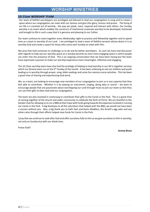## RSHIP MINISTRIES

#### <span id="page-17-1"></span><span id="page-17-0"></span>**10:15am WORSHIP TEAM**

Our team of faithful worshippers are privileged and blessed to lead our congregation in song and to create a space where our congregation can meet with our Saviour and give Him glory, honour and praise. The living of our life is a constant act of worship - the way we speak, react, respond and interact with others. Our Sunday worship is an event which enables the construct of intentional corporate worship to be developed, fashioned and brought to life in such a way that it is genuine and pleasing to our Father.

Our team continue to come together every Wednesday night to practice and fellowship together and to spend time as a team in worship of our Lord. I am privileged to lead a team of faithful servants whose desire it is to worship God and create a space for those who come each Sunday to meet with Him.

We pray that God continues to challenge us to do and be better worshipers. As such we have had discussion with regards to help see our worship space on a Sunday become an even more engaging space in which people can enter into the presence of God. This is an ongoing conversation that we have been having but the team have expressed a passion to make our worship experience more meaningful, reflective and engaging.

The 10.15am worship team have also had the privilege of helping to lead worship in our All in together services which our Xtreme team run on the 5<sup>th</sup> Sunday of the month. It has been a blessing to see our children and youth leading us in worship through prayer, song, bible readings and some fun memory verse activities. This has been a great time of sharing and experiencing God word.

We, as a team, are looking to encourage new members of our congregation to join us in any capacity that they feel able to contribute. Whether it is by playing an instrument, singing, doing data or sound – we want to encourage people that are passionate about worshipping our Lord through music to join our team so that they can use their gifts to bless God and our congregation.

The team are also invested in continuing to contribute their gifts to the Carols in the Park. This is a great time of coming together of the church and wider community to celebrate the birth of Christ. We are thankful to the Garden Club for allowing us to run a BBQ at their Expo with funds going towards the expenses involved in running our Carols in the Park. A big thankyou to all the volunteers that helped with the BBQ, we would not have been a success without you. Also, a big thank you to Kath Hart and Karen Madders, the Arnett's egg sales and any others who through their efforts helped raise funds for Carols in the Park.

I pray that we continue to seek after God and offer ourselves fully to Him as we give ourselves to Him in worship, not only on Sunday but with our whole lives.

Praise God!!

*Jeremy Bruce*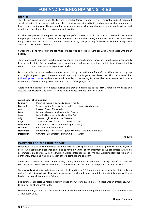#### <span id="page-18-1"></span><span id="page-18-0"></span>**RISKIES**

The "Riskies" group comes under the Fun and Friendship Ministry Team. It is a self-motivated and self-organised social gathering of fun-loving adults who plan a range of engaging activities and outings roughly on a monthly basis throughout the year. The premise for the group is that activities are planned to allow people to form and develop stronger friendships by doing fun stuff together.

Activities are planned by the group at the beginning of each year to lock in the dates of these activities before the year gets too busy. The idea of, **'Come when you can - but don't worry if you can't'** allows this group to be fairly relaxed and stress free. The members attend as many outings as they feel they can. Numbers range from about 10 to 25 for most activities.

Carpooling is done for most of the activities so those who do not like driving can usually hitch a ride with other people.

The group consists of people from the congregations of our church, some from other churches and other friends from all walks of life. Friendships have been strengthened and support structures built by being involved in this group…………. and there are always plenty of laughs.

Do you sit at home on the weekends and wish you could go out with some friends? If so, this is the sort of group that might appeal to you. Everyone is welcome to join this group so please see Jill Case or email her [\(riskies@gleberd.com.au\)](mailto:riskies@gleberd.com.au) and your name will be added to the mailing list. You will receive an email each month with details of the upcoming event. We would love to have you join us.

Apart from the activities listed below, Riskies also provided assistance at the ANZAC Parade morning tea and also the Glebe Garden Club Expo. It is good to be involved in these service activities.

#### **Activities for 2019 included:**

| <b>February</b> | Planning evening, Coffee & Dessert night.                      |
|-----------------|----------------------------------------------------------------|
| March (2)       | Science Nation (Science Says) and Team Timor Trivia Morning    |
| April           | Passion Play at Moogerah                                       |
| May             | Boonah Markets, Bushwalk at Mt French                          |
| June            | Bulimba Heritage trail walk via City Cat                       |
| July            | Theatre Night - Incinerator Theatre                            |
| <b>August</b>   | Trivia Fundraiser for Blackstone Soccer Club                   |
| September       | Toowoomba Carnival of flowers (postponed)                      |
| <b>October</b>  | Casserole and Games Night                                      |
| <b>November</b> | Powerhouse Theatre and Supper (Die Hard – the movie, the play) |
| <b>December</b> | Christmas Breakfast at Fourth Child Restaurant                 |
|                 |                                                                |

*Jill Case*

#### <span id="page-18-2"></span>**PAINTING FOR PLEASURE GROUP**

We started the year on 15th January as planned with ten participants under Dorothy's guidance. However, word got around about her excellence and I had to have a waiting list for enrolment as we are limited with table accommodation. There are 24 on roll with an average attendance of 16. We have welcomed four artistic men to our friendly group and we all enjoy each other's paintings and company.

Judith was successful at Ipswich Show in May coming 2nd in Abstract with her "Dancing Couple" and received H.C. in Novice section with her beautiful "Gap of Dunloe". Other talented competitors entered as well.

We received an invitation to be in an Interfaith Art Exhibition on 6-8 September, expressing beliefs, faith, religion and spirituality through art. Three of our members contributed some beautiful entries to this amazing display held at the Ipswich Community Gallery.

Rob dutifully instructed us regarding safety issues and where to assemble etc. if there was an emergency, who to take notice of and what to do.

We ended our year on 10th December with a special Christmas morning tea and decided to recommence on 14th January 2020.

*Margaret Johnson*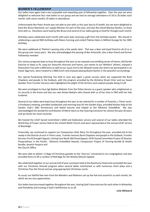#### <span id="page-19-0"></span>**WOMEN'S FELLOWSHIP**

Our ladies have again had a very enjoyable and rewarding year of fellowship together. Over the year we were delighted to welcome four new ladies to our group and we had an average attendance of 18 to 20 ladies each month, with some months 25 ladies in attendance.

Unfortunately Rev Peter Arnett was not able to join with us this year due to ill health, but we were delighted to have Rev Bruce Raymond, our supply Minister for part of the year, and also Rev David Mackay-Rankin, to share time with us. Devotions were lead by Rev Bruce and several of our ladies giving us food for thought each month.

Birthdays were celebrated each month with each lady receiving a gift from the birthday basket. We shared in celebrating a special 90th birthday with Mavis Cunning and visited Thelma Hales in Milford Grange for her 90th birthday.

We were saddened at Thelma's passing only a few weeks later. Thel was a dear and loyal friend to all of us in this group over many years. We also acknowledged the passing of Bev Antoniolli, also a dear friend and former Fellowship member.

Our various programs kept us busy throughout the year as we enjoyed unscrambling verses of hymns, did Gentle Exercise to keep us fit, sang our favourite choruses and hymns, put names to our Mothers' photos, enjoyed a Devonshire Tea with a difference as well as our usual visit to the Allawah Camp site where we participated in an Easter Egg Hunt, were treated to a BBQ lunch and enjoyed playing Board Games in the peaceful surroundings.

Our special fundraising Morning Tea held in June was again a great success when we supported the Bush Chaplains and people in the Outback, with the program provided by the Alchemy Street Choir and our Guest Speaker from Frontier Services who highlighted the plight of the farmers and outback people doing it tuff.

We were privileged to have Sgt Nadine Webster from the Police Service as a guest speaker who enlightened us on security in the home and also our own Roslyn Beduhn who shared with us of her time in PNG with her late husband.

Several of our ladies were kept busy throughout the year as we catered for a number of funerals, a Timor lunch, a Presbytery meeting, provided sandwiches and morning teas for the Garden Expo, provided kitchen help at the Garden Club's 20th Anniversary and baked biscuits and helped at the Silkstone Eisteddfod. We also acknowledged the wonderful contribution of Merle Setch as the Catering Convenor for almost the past 30 years and we thank her most sincerely.

We hosted the UCAF Synod Committee's AGM and Dedication service and several of our ladies attended the World Day of Prayer service held at the United Welsh Church and were represented at the annual UCAF service at Beenleigh.

Financially, we continued to support our Compassion child, Mary Tei throughout the year, provided aid to the needy in the Ekaristi church in Timor Leste, Frontier Services Bush Chaplains and people in the Outback, Frontier Services Fire & Drought Appeal, Uniting Care North Qld Flood Appeal, UCAF Synod Committee Project of Disaster Preparedness in the Pacific, Silkstone Eisteddfod Awards, Compassion Project of Farming Bundle & Health Bundle, Ipswich Hospice and the Church Office.

We were able to deliver 11 Bags of Christmas goodies to the 'shut-ins' connected to our congregation and also provided items to fill a number of Red Bags for the Wesley Mission Appeal.

We celebrated together at our annual end of year Luncheon held at the Racehorse Hotel and concluded the year with our Christmas themed program when several ladies entertained us with humorous short plays and a Christmas Pass the Parcel and we sang appropriate Christmas carols.

As usual, our faithful few men from the Weeders and Waterers set up the hall and sound for us each month, for which we are very appreciative.

Our ladies have journeyed together throughout the year, sharing God's love and care for each other in fellowship and friendship and trusting in God's faithfulness to us all.

*Lola Milward*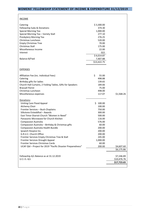## <span id="page-20-0"></span>**WOMENS' FELLOWSHIP STATEMENT OF INCOME & EXPENDITURE 31/12/20 19**

|  | INCOME |  |
|--|--------|--|
|  |        |  |

| Catering<br>Fellowship Subs & Donations<br><b>Special Morning Tea</b><br>Special Morning Tea - Variety Stall<br>Presbytery Morning Tea<br>Christmas Luncheon<br><b>Empty Christmas Tree</b><br>Christmas Stall<br>Miscellaneous Income<br>Interest<br>Balance B/Fwd                                                                                                                                                                                                                                                                                                                           | \$3,300.00<br>374.30<br>1,000.00<br>277.10<br>276.25<br>520.00<br>70.00<br>175.00<br>22.00<br>022<br>\$6,014.87<br>7,407.88<br>\$13,422.75           |                                          |
|-----------------------------------------------------------------------------------------------------------------------------------------------------------------------------------------------------------------------------------------------------------------------------------------------------------------------------------------------------------------------------------------------------------------------------------------------------------------------------------------------------------------------------------------------------------------------------------------------|------------------------------------------------------------------------------------------------------------------------------------------------------|------------------------------------------|
| <b>EXPENSES</b>                                                                                                                                                                                                                                                                                                                                                                                                                                                                                                                                                                               |                                                                                                                                                      |                                          |
| Affiliation Fee (inc. Individual Fees)<br>Catering<br>Birthday gifts for ladies<br>Church Hall Curtains, 2 Folding Tables, Gifts for Speakers<br><b>Brassall Florist</b><br>Christmas Luncheon<br>Miscellaneous expenses                                                                                                                                                                                                                                                                                                                                                                      | \$<br>55.00<br>498.88<br>139.65<br>184.66<br>75.00<br>498.00<br>117.07                                                                               | \$1,568.26                               |
| Donations:<br>Uniting Care Flood Appeal<br>Alchemy Choir<br>Frontier Services - Bush Chaplains<br>Silkstone Eisteddfod - Awards<br>East Timor Ekaristi Church "Women in Need"<br>Panasonic Microwave for Church Kitchen<br><b>Compassion Australia</b><br>Compassion Australia - Birthday & Christmas gifts<br>Compassion Australia Health Bundle<br>Ipswich Hospice Inc.<br>G.R.U.C. Church Office<br>Frontier Services Empty Christmas Tree & Stall<br>Frontier Services Drought Appeal<br>Frontier Services Christmas Cards<br>UCAF Qld - Project for 2019 "Pacific Disaster Preparedness" | \$100.00<br>100.00<br>750.00<br>300.00<br>500.00<br>116.00<br>576.00<br>60.00<br>200.00<br>200.00<br>200.00<br>245.00<br>1,000.00<br>60.00<br>200.00 | \$4,607.60                               |
|                                                                                                                                                                                                                                                                                                                                                                                                                                                                                                                                                                                               |                                                                                                                                                      | \$6,175.86                               |
| Fellowship A/c Balance as at 31.12.2019<br>U.C.I.S. A/c                                                                                                                                                                                                                                                                                                                                                                                                                                                                                                                                       |                                                                                                                                                      | \$7,246.89<br>\$10,476.76<br>\$17,723.65 |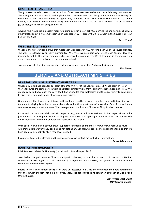#### <span id="page-21-0"></span>**CRAFT COFFEE AND CHAT**

This group continued to meet on the second and fourth Wednesday of each month from February to November. The average attendance was 6. Although numbers are sometimes low, the group is an important outing for those who attend. Members enjoy the opportunity to indulge in their chosen craft, share morning tea and a friendly chat. Knitting, crochet, embroidery and counted cross stitch are the usual activities. We all share the joy of a long-term project being completed.

Anyone who would like a pleasant morning out indulging in a craft activity, morning tea and having a chat with other 'crafty ladies' is welcome to join us on Wednesday, 12th February 9:30 – 11:30am in the Church Hall – our first day for 2020.

#### *Faye Wright*

#### <span id="page-21-1"></span>**WEEDERS & WATERERS**

Weeders and Waterers are a group that meets each Wednesday at 7:00 AM for a clean-up of the church grounds. The work is followed by an early morning tea. We have five members who attend each Wednesday, two indepently mobile, the other three on walkers prepare the morning tea. We all take part in the morning tea discussions where the problems of the world are solved.

We are always looking for new members, all are welcome, contact Ken Fischer or just turn up.

*Ken Fischer*

## SERVICE AND OUTREACH MINISTRIES

#### <span id="page-21-3"></span><span id="page-21-2"></span>**BRASSALL VILLAGE BIRTHDAY HIGH TEAS**

What a privilege it has been for our team of four to minister at the Lodge at Brassall Village again this year. We've followed the same pattern with celebratory birthday visits from February to November inclusively. We are regularly told how much the party food, fine china, designer tablecloths and the opportunity to contribute to discussions on a wide range of topics are appreciated.

Our team is richly blessed as we interact with our friends and hear stories from their long and interesting lives. Community singing is embraced enthusiastically and with a great deal of musicality. One of the residents continues as a regular accompanist. We are so grateful to Robyn and Shirley for filling in when needed.

Easter and Christmas are celebrated with a special program and individual residents invited to participate in the presentation. A small gift is given to each guest. Every visit is an uplifting experience as we give and receive Christ's love and remind one another how special we are to God.

Once again, we would enlist your prayer support for our team and the folk from whom we receive so much. As our members are very busy people and not getting any younger, we are keen to expand the team so that we have people on standby to allow respite, as needed.

If you are interested in blessing and being blessed, please contact me for further information.

#### *Carole Edwardson*

#### <span id="page-21-4"></span>**HABITAT FOR HUMANITY**

Brief Recap on Habitat for Humanity (H4H) Ipswich Annual Report 2018.

Ken Fischer stepped down as Chair of the Ipswich Chapter, to date the position is still vacant but Habitat Queensland is working on this. Also, Habitat Qld merged with Habitat NSW, the Queensland entity renamed Habitat for Humanity (NSWQ) Ltd.

Efforts to find a replacement chairperson were unsuccessful so in 2019 the committee members determined that the Ipswich chapter should be dissolved. Sadly, Habitat Ipswich is no longer an outreach of Glebe Road Uniting Church.

> *Ken Fischer (past Chair) H4H Ipswich Chapter*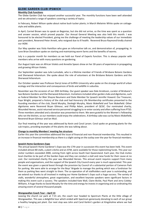#### <span id="page-22-0"></span>**GLEBE GARDEN CLUB IPSWICH**

#### **Monthly Club Functions**

The Glebe Garden Club has enjoyed another successful year. The monthly functions have been well attended and we attracted a range of speakers covering a variety of topics.

In February, Robert Wilson spoke about native bush tucker plants; in March Melainie White spoke on cottagestyle and edible plants.

In April, Carmel Brown was to speak on Begonias, but she did not arrive, so the time was spent as a question and answer session, which proved popular. Our Annual General Meeting was also held this month. I was honoured to be elected President, giving me the challenge of meeting the leadership values of our immediate past president, Reverend Peter Arnett, who resigned due to ill health. Reverend Bruce Raymond kindly chaired our AGM.

Our May speaker was Viola Hamilton who gave an informative talk on, and demonstration of, propagating. In June Brian Donaldson spoke on starting and maintaining worm farms and the benefits of worms.

July is a popular month for members as we hold our Panel of Experts function. This is always popular with members who arrive with many questions on gardening.

Our August topic was on African Violets and Annette Spears drew on her 30-years of experience in propagating and growing African Violets.

Our September speaker was Julie Lumsdale, who is a lifetime member of Friends of Brisbane Botanic Gardens and Sherwood Arboretum. She spoke about the role of volunteers at the Brisbane Botanic Gardens and the Sherwood Arboretum.

Our October speaker was Professor Darryl Jones of Griffith University who spoke on the strange world of urban ecology and the interaction and consequences of birds and wildlife in suburbia.

November was the occasion of our 20th birthday. Our guest speaker was Dale Arvidsson, curator of Brisbane's two Botanic Gardens and the Sherwood Arboretum. Invitations included other garden clubs and dignitaries, such as Federal Member for Blair Shayne Neumann and State Member for Ipswich Jennifer Howard. Our Treasurer, Faye Wright, prepared a history of the club and had Honorary Life Membership certificates presented to the founding members of the club, David Murphy, Desleigh Murphy, Mavis Wakefield and Tom Wakefield. Other dignitaries were Reverend Bryan Gilmour, and Phillip Adam, president of QCGC. Our nominated charity, Wounded Heroes, assist returned service personnel struggling to re-enter society and often suffering from PTSD. Three members attended and a donation was presented to them. We were grateful to the Women's Fellowship who ran the kitchen, so our members could enjoy the celebrations. A birthday cake was cut by Mavis Wakefield, Reverend Bryan Gilmour and Ian Muil.

Our final meeting of the year was addressed by Kevin and Coral Larsen. Coral spoke on growing plants for the sub tropics, providing examples of the plants she was talking about.

#### **Change to monthly Members' meeting fee structure**

Earlier this year the committee addressed the issue of financial and non-financial membership. This resulted in an increase in financial membership as there is a slight saving on the outlay over the year for financial members.

#### **Ipswich Home Gardeners Expo**

The annual Ipswich Home Gardener's Expo was the 17th year in succession this event has been held. This event included almost 80 stalls, a plant crèche and an ATM, were available for those replenishing funds. This year our visitor numbers exceeded 2000, coming from right across South East Queensland. Each year, the Club invites local charities to be part of the Garden Expo and they can conduct a stall and raise funds for their cause at no cost. Our nominated charity this year was Wounded Heroes. This annual event requires support from many people and organisations, and the support of the Ipswich City Council every year is much appreciated. This year the event was given a special boost through the provision by Council of a substantial portion of Cameron Park for parking. We were able to arrange for the Boys' Brigade to manage the parking which was a fundraiser for them as parking fees went straight to them. The co-operation of all stallholders each year is outstanding, and we extend our thanks to all involved in making our Home Gardener's Expo such a huge success. The variety of stalls, wonderful atmosphere, great organization, and excellent keynote speakers were significant factors in making this event such a success. The speakers included Kate Wall, Claire Bickle, Paul Plant and Jerry Coleby-Williams. A huge thanks to David Murphy for the time and energy he invests in organising and co-ordinating this amazing event of several thousand people.

#### **Wongawallan Coach Tour - April 13**

Leaving the church car park at 7:15 am, the coach tour headed to Spectrum Plants at the little village of Wongawallan. This was a delightful tour which ended with Spectrum generously donating to each of our group a healthy hanging pot plant. Our next stop was John and Carol Kerkin's garden at Kingsholme where we had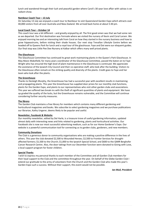lunch and wandered through their lush and peaceful garden where Carol's 30-year love affair with salvias is on radiant show.

#### **Nambour Coach Tour - 13 July**

On Saturday 13 July we enjoyed a coach tour to Nambour to visit Queensland Garden Expo which attracts over 40,000 visitors from all over Australia and New Zealand. We arrived back home at about 5:30 pm.

#### **Local Coach Tour – October 14**

This coach tour was a bit different – and greatly enjoyed by all. The first good omen was that we had some rain as we departed. Our first destination was Fernvale where we visited the nursery of Kevin and Coral Larsen. We enjoyed morning tea and an interesting talk from Coral on how they started in the nursery business and how to grow hippeastrums, before visiting their shade houses. Our next stop Trevallan Lifestyle Centre before we headed off to Queens Park for lunch and a royal tour of the glasshouse. Faye and Dot were our eloquent guides. Our final stop was Little Pee Dee Nursery at Kalbar which offers many well priced plants.

#### **The Glasshouse**

The Glasshouse Committee has continued its great work maintaining plants in the Queen's Park Glasshouse. In May Mavis Wakefield, for many years coordinator of the Glasshouse Committee, passed the baton on to Faye Wright who has ensured the high level of plant maintenance in the Glasshouse is continued. We appreciate the assistance of the Ipswich City Council and their co-operative staff, who look after the building. Visitors to the Glasshouse often remark on the striking quality and diversity of the plants. Credit goes to Faye and her team who look after the plants.

#### **The Greenhouse**

Thanks to Desleigh Murphy, the Greenhouse has had a successful year with excellent results in maintaining and propagating plants. This year the Greenhouse has supplied door prizes for our monthly club functions, plants for the Garden Expo, and plants to our representatives who visit other garden clubs and associations. This year we suffered two break-ins with the theft of significant quantities of plants and equipment. We have up graded the quality of the locks, but the Greenhouse remains vulnerable, and the Committee will continue considering further security measures.

#### **The library**

The Garden Club maintains a free library for members which contains many different gardening and horticultural magazines and books. We subscribe to select gardening magazines and we purchase publications our librarian, Kathy Ungerer, deems likely to be popular and useful.

#### **Newsletter, Facebook & Website**

Our monthly newsletter, edited by Del Harle, is a treasure trove of useful gardening information, updated almost daily with interesting news and links related to gardening, plants and horticultural activities. Our Facebook site is now our most successful advertising medium, such as for our Home Gardener's Expo. Our website is a powerful communication tool for connecting us to garden clubs, gardeners, and new members.

#### **Community Donations**

The Club is a generous donor to community organisations who are making a positive difference in the lives of others. This year the club donated \$2,500 to Wounded Heroes; \$2,500 to Frontier Services for droughtaffected farmers; \$1,500 to the Church; \$1,000 to the Ipswich Special School, and \$600 to the QIMR Berghofer Cancer Research Centre. Also, the door takings from our December function were donated to Giving with Love, a local support program for foster children.

#### **Special Thanks**

I wish to express my personal thanks to each member of the Committee and all Garden Club members for their loyal support to the Club and the committee throughout the year. On behalf of the Glebe Garden Club I extend our gratitude to the army of volunteers from the Church and the Garden Club who made this year's Garden Expo such a success. Without their support, this event would not be possible.

*Ian Muil, President*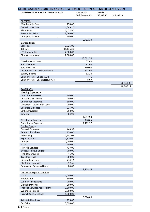<span id="page-24-0"></span>

| GLEBE GARDEN CLUB FINANCIAL STATEMENT FOR YEAR ENDED 31/12/2019 |           |                                |                          |             |
|-----------------------------------------------------------------|-----------|--------------------------------|--------------------------|-------------|
| <b>OPENING CREDIT BALANCE 1st January 2019</b>                  |           | Cheque A/c<br>Cash Reserve A/c | \$5,005.51<br>\$8,932.62 | \$13,938.13 |
| <b>RECEIPTS:</b>                                                |           |                                |                          |             |
| Membership Fees                                                 | 770.00    |                                |                          |             |
| <b>Donations at Door</b>                                        | 1,389.20  |                                |                          |             |
| <b>Plant Sales</b>                                              | 1,472.90  |                                |                          |             |
| Fares - Bus Trips                                               | 3,060.00  |                                |                          |             |
|                                                                 | 100.00    |                                |                          |             |
| Change re-banked                                                |           | 6,792.10                       |                          |             |
| Garden Expo:                                                    |           |                                |                          |             |
| <b>Stall Fees</b>                                               | 2,925.00  |                                |                          |             |
| <b>Takings</b>                                                  | 11,136.30 |                                |                          |             |
|                                                                 | 2,500.00  |                                |                          |             |
| ICC Sponsorship                                                 |           |                                |                          |             |
| Change re-banked                                                | 2,000.00  |                                |                          |             |
|                                                                 |           | 18,561.30                      |                          |             |
| Glasshouse Income                                               |           | 77.00                          |                          |             |
| Sale of Honey                                                   |           | 68.00                          |                          |             |
| Sale of Diaries                                                 |           | 160.00                         |                          |             |
| Insurance Claim re Greenhouse                                   |           | 605.00                         |                          |             |
| Sundry Income                                                   |           | 62.20                          |                          |             |
| Bank Interest - Cheque A/c                                      |           | 7.71                           |                          |             |
| Bank Interest - Cash Reserve A/c                                |           | 8.67                           |                          |             |
|                                                                 |           |                                |                          | 26,341.98   |
|                                                                 |           |                                |                          | 40,280.11   |
| <b>PAYMENTS:</b>                                                |           |                                |                          |             |
| <b>Meeting Expenses -</b>                                       |           |                                |                          |             |
| Contribution - GRUC                                             | 600.00    |                                |                          |             |
| <b>Christmas Gift Plants</b>                                    | 200.00    |                                |                          |             |
| <b>Change for Meetings</b>                                      | 100.00    |                                |                          |             |
| Donation - Giving with Love                                     | 200.00    |                                |                          |             |
| <b>Speakers Expenses</b>                                        | 235.00    |                                |                          |             |
| 20th Anniversary                                                | 298.00    |                                |                          |             |
| Catering                                                        | 64.90     |                                |                          |             |
|                                                                 |           | 1,697.90                       |                          |             |
| <b>Glasshouse Expenses</b>                                      |           | 478.65                         |                          |             |
| Greenhouse Expenses                                             |           | 1,172.97                       |                          |             |
| Garden Expo -                                                   |           |                                |                          |             |
| <b>General Expenses</b>                                         | 443.55    |                                |                          |             |
| Refund of Stall fees                                            | 150.00    |                                |                          |             |
|                                                                 | 2,181.03  |                                |                          |             |
| Advertising                                                     | 1,320.00  |                                |                          |             |
| <b>Expo Speakers</b>                                            |           |                                |                          |             |
| Change                                                          | 2,000.00  |                                |                          |             |
| <b>ATM</b>                                                      | 400.00    |                                |                          |             |
| <b>First Aid Services</b>                                       | 437.00    |                                |                          |             |
| 6 <sup>th</sup> Ipswich Boys Brigade                            | 700.00    |                                |                          |             |
| Hire of Marquees                                                | 46.00     |                                |                          |             |
| <b>Teardrop Flags</b>                                           | 360.00    |                                |                          |             |
| Kitchen Expenses                                                | 774.12    |                                |                          |             |
| <b>Plant Stall Expenses</b>                                     | 312.66    |                                |                          |             |
| <b>Renewal of Business Name</b>                                 | 84.00     |                                |                          |             |
|                                                                 |           | 9,208.36                       |                          |             |
| Donations Expo Proceeds-                                        |           |                                |                          |             |
| <b>GRUC</b>                                                     | 1,000.00  |                                |                          |             |
| <b>Fiddlers Inn</b>                                             | 500.00    |                                |                          |             |
| Women's Fellowship                                              | 700.00    |                                |                          |             |
| QIMR Berghoffer                                                 | 600.00    |                                |                          |             |
| Frontier Services Assist Farmer                                 | 2,500.00  |                                |                          |             |
| <b>Wounded Heroes</b>                                           | 2,500.00  |                                |                          |             |
| Ipswich Special School                                          | 1,000.00  |                                |                          |             |
|                                                                 |           | 8,800.00                       |                          |             |
| Adopt-A-Hive Project                                            | 125.00    |                                |                          |             |
| <b>Bus Trips</b>                                                | 3,090.00  |                                |                          |             |
|                                                                 |           |                                |                          |             |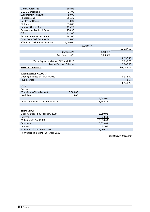| Library Purchases                     | 103.91   |           |  |
|---------------------------------------|----------|-----------|--|
| <b>QCGC Membership</b>                | 25.00    |           |  |
| Web Domain Renewal                    | 90.00    |           |  |
| Photocopying                          | 395.30   |           |  |
| <b>Bottles for Honey</b>              | 78.00    |           |  |
| Stationery                            | 374.86   |           |  |
| Renewal Office 365                    | 115.20   |           |  |
| <b>Promotional Diaries &amp; Pens</b> | 774.50   |           |  |
| Gifts                                 | 412.00   |           |  |
| <b>Business Case for Secretary</b>    | 181.00   |           |  |
| Bank Fee - Cash Reserve A/c           | 5.00     |           |  |
| T'fer from Cash Res to Term Dep       | 5,000.00 |           |  |
|                                       |          | 10 769 77 |  |

|                                                    |                              |          | 32,127.65   |
|----------------------------------------------------|------------------------------|----------|-------------|
|                                                    | Cheque A/c                   | 4,216.17 |             |
|                                                    | Cash Reserve A/c             | 3,936.29 |             |
|                                                    |                              |          | 8,152.46    |
| Term Deposit - Matures 30 <sup>th</sup> April 2020 |                              |          | 5,090.70    |
|                                                    | <b>Mutual Support Scheme</b> |          | 3,000.00    |
| <b>TOTAL CLUB FUNDS</b>                            |                              |          | \$16,243.16 |
|                                                    |                              |          |             |
| <b>CASH RESERVE ACCOUNT</b>                        |                              |          |             |
| Opening Balance 1st January 2019                   |                              |          | 8,932.62    |
| <b>Plus Interest</b>                               |                              |          | 8.67        |
|                                                    |                              |          | 8,941.29    |
| Less:                                              |                              |          |             |
| Receipts:                                          |                              |          |             |
| <b>Transfers to Term Deposit</b>                   | 5,000.00                     |          |             |
| <b>Bank Fee</b>                                    | 5.00                         |          |             |
|                                                    |                              | 5,005.00 |             |
| Closing Balance 31st December 2019                 |                              | 3,936.29 |             |
|                                                    |                              |          |             |
|                                                    |                              |          |             |
| <b>TERM DEPOSIT</b>                                |                              |          |             |

| Opening Deposit 30 <sup>th</sup> January 2019 | 5,000.00 |  |
|-----------------------------------------------|----------|--|
| Interest                                      | 38.63    |  |
| Maturity 30 <sup>th</sup> April 2020          | 5,038.63 |  |
| Reinvested                                    | 5,038.63 |  |
| Interest                                      | 52.07    |  |
| Maturity 30 <sup>th</sup> November 2019       | 5,090.70 |  |
|                                               |          |  |

Reinvested to mature - 30<sup>th</sup> April 2020

*Faye Wright, Treasurer*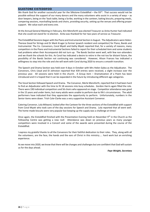#### <span id="page-26-0"></span>**SILKSTONE EISTEDDFOD**

We thank God for another successful year for the Silkstone Eisteddfod – the 93<sup>rd</sup>. That success would not be possible without the support of our many donors and the many volunteers who assist in a variety of ways – as door keepers, being on the 'back table, being a Scribe, working in the canteen, baking biscuits, preparing meals, compering sessions, marshalling bands and choirs, providing security, setting up the venues and offering prayer support. We value each and every one.

At the Annual General Meeting in February, Kim Mensforth was elected Treasurer as Anita Hunter had indicated that she could not stand for re-election. Anita was thanked for her two years of service as Treasurer.

The Eisteddfod Sessions began with the Piano and Instrumental Section in August. The Adjudicators were Helen-Therese Good for Strings and Dr Mark Kruger (a former Ipswich resident and competitor) for Piano, Bands and Instrumental. The Co- Convenors, Coral Myatt and Kathy Myatt reported that, for a variety of reasons, many competitors in the Piano and Instrumental Sections failed to report for their scheduled item and some students had problems when their Accompanist did not turn up. The Bands Section went well, with few non-attenders and we thank the schools for this. As Coral has indicated a desire to retire in the not too far distant future, the possibility of the Bands Section not continuing was considered. However, Alison Frances has indicated a willingness to step into the role and she will work with Coral during 2020 to ensure a smooth transition.

The Speech and Drama Section was held over 4 days in October with Mrs Helen Galea as the Adjudicator. The Convenors, Chris Lloyd and Di Johnston reported that 439 entries were received, a slight increase over the previous year. All sessions were held in the church. A Group item – Dramatization of a Poem has been introduced and it is hoped that it can be expanded in the future by introducing different age categories.

The Vocal Section followed Speech and Drama. The Convenor, Merle Mensforth, reported that it had been hard to find an Adjudicator with the time to fit 18 sessions into busy schedules. Gordon Harris again filled the role. There were 190 individual competitors and 56 choirs who appeared on stage. Competitor attendance was good in the 15 years and under items, but many adults were unable to perform due to life's circumstances. The adult performers have indicated that they appreciate the opportunity to perform. Unfortunately, numbers in the Senior items were down. Trish Cole-Clarke was a very supportive Assistant Convenor.

Catering Convenor, Lola Milward, looked after the Canteen for the three sections of the Eisteddfod with support from Coral Myatt who took care of the day sessions for Speech and Drama. Lola reported that all went well. The home-made biscuits were very popular but keeping up the supply was a challenge at times!

Once again, the Eisteddfod finished with the Presentation Evening held on November 9<sup>th</sup> in the Church as the Fellowship Centre was getting a new roof. Attendance was down on previous years as many younger competitors were involved in a Concert and some of the awards were presented during the course of the Eisteddfod.

I express my grateful thanks to all the Convenors for their faithful dedication to their roles. They, along with all the volunteers, are the face, the hands and the ears of Christ in this ministry….. hard work but an enriching experience.

As we move into 2020, we know that there will be changes and challenges but are confident that God will sustain us for the days ahead.

*Faye Weight, Secretary*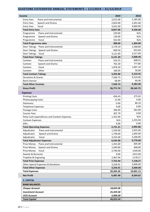## <span id="page-27-0"></span>**SILKSTONE EISTEDDFOD ANNUAL STATEMENTS – 1/1/2019 – 31/12/2019**

| <b>Income</b>                                | 2019      | 2018      |
|----------------------------------------------|-----------|-----------|
| Piano and Instrumental<br><b>Entry Fees</b>  | 2,072.00  | 2,185.00  |
| Speech and Drama<br><b>Entry Fees</b>        | 2,854.00  | 2,491.00  |
| Vocal<br><b>Entry Fees</b>                   | 3,931.00  | 4,660.00  |
| <b>Total Entry Fees</b>                      | 8,857.00  | 9,336.00  |
| Piano and Instrumental<br>Programme          | 220.00    | N/A       |
| Speech and Drama<br>Programme                | 126.00    | N/A       |
| Vocal<br>Programme                           | 562.00    | N/A       |
| <b>Total Programme sales</b>                 | 908.00    | 1,304.00  |
| Door Takings<br>Piano and Instrumental       | 2,170.10  | 1,568.80  |
| Door Takings<br>Speech and Drama             | 849.50    | 922.60    |
| Vocal<br>Door Takings                        | 3,121.60  | 2,517.00  |
| <b>Total Door Takings</b>                    | 6,141.20  | 5,008.40  |
| Canteen<br>Piano and Instrumental            | 554.25    | 608.55    |
| Speech and Drama<br>Canteen                  | 702.30    | 777.80    |
| Vocal<br>Canteen                             | 1,878.30  | 1,697.10  |
| Other<br>Canteen                             | 160.95    | 50.00     |
| <b>Total Canteen Takings</b>                 | 3,295.80  | 3,133.45  |
| Donations & Grants                           | 7,500.75  | 9,319.00  |
| <b>Bank Interest</b>                         | 68.99     | 64.90     |
| <b>Total Other Incomes</b>                   | 7,569.74  | 9,383.90  |
| <b>Gross Profit</b>                          | 26,771.74 | 28,165.75 |
|                                              |           |           |
| <b>Expenses</b>                              |           |           |
| <b>Printing Costs</b>                        | 656.43    | 275.92    |
| Photocopying Costs                           | 21.00     | 9.90      |
| Stationery                                   | 0.00      | 89.10     |
| <b>Telephone Expenses</b>                    | 0.00      | 0.00      |
| Postage Costs                                | 390.99    | 462.00    |
| <b>Courier Fees</b>                          | 307.79    | 0.00      |
| Petty Cash expenditures and Canteen Expenses | 1,355.00  | N/A       |
| Canteen Expenses                             | N/A       | 1,255.94  |
| Gifts                                        | 0.00      | 0.00      |
| <b>Total Operating Expenses</b>              | 2,731.21  | 2,092.86  |
| Piano and Instrumental<br>Adjudicator        | 1,550.00  | 1,925.00  |
| Adjudicator<br>Speech and Drama              | 1,740.00  | 1,645.00  |
| Adjudicator<br>Vocal                         | 3,255.00  | 3,200.00  |
| <b>Total Adjudicator Expenses</b>            | 6,545.00  | 6,770.00  |
| Piano and Instrumental<br>Prize Money        | 1,455.00  | 605.00    |
| Speech and Drama<br>Prize Money              | 1,040.00  | 400.00    |
| Prize Money<br>Vocal                         | 2,790.00  | 1540.00   |
| <b>Awards &amp; Bursaries</b>                | 0.00      | 2415.00   |
| Trophies & Engraving                         | 2,467.04  | 2178.27   |
| <b>Total Prize Expenses</b>                  | 7,752.04  | 7,138.27  |
| Other Special Expenses & Donations           | 3,256.01  | 3,600.00  |
| <b>Total Other Expenses</b>                  | 3,256.01  | 3,600.00  |
| <b>Total Expenses</b>                        | 20,284.26 | 19,601.13 |
| <b>Net Profit</b>                            | 6,487.48  | 8,564.62  |
| <b>3. CAPITAL</b>                            |           |           |
| <b>BANK BALANCES</b>                         |           |           |
| <b>Cheque Account</b>                        | 18,693.96 |           |
| <b>Investment Account</b>                    | 25,359.58 |           |
| <b>UCIS Account</b>                          | 5,000.00  |           |
| <b>Total Capital</b>                         | 49,053.54 |           |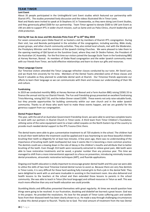#### <span id="page-28-0"></span>**TEAM TIMOR**

#### **Lent Event**

About 35 people participated in the UnitingWorld Lent Event studies which featured our partnership with Ekaristi IPTL. The studies promoted lively discussion and the videos illustrated life in Timor Leste.

Noel and Noela were invited to speak at St Stephens UC in Toowoomba, as they were doing Lent Event Studies, and they generously gifted \$500 for our partnership. Team Timor agreed to donate \$500 to UW Lent Event as UW are able to support IPTL in wider church mission, such as Same and Los Palos Clinics, church leadership and child protection.

#### **Visit by Mr Isac de Jesus and Mrs Bevinda Pinto from 8 th to 20th May 2019**

For seven consecutive years Glebe Road UC as hosted a visit by members of Ekaristi IPTL congregation. During their visit, Isac and Bevinda participated in the activities of the congregation, including worship, Bible study, prayer groups, and other church community activities. They also visited local schools, met with the Moderator, the Presbytery Minister and the ministers of the Ipswich Uniting Churches. We were pleased to take them to the opening meeting of Qld Synod on the Sunshine Coast, where they met Dr Deidre Palmer, the President of the Australian UC Assembly. For the first time our visitors joined the Sausage Sizzle Team in the fundraising BBQ at Harvey Norman, Booval. As members of Glebe Road congregation and the wider Ipswich community meet with our friends from Timor, we build effective relationships and learn to share our gifts and resources.

#### **Tetun Language Course**

Our Timorese visitors attended the Tetun Language refresher classes conducted by our tutor, Mr David Lyon, and we thank him sincerely for his time. Members of the Dental Teams attended some of these classes and found it valuable as they planned to undertake dental work at Ekaristi. Our Timorese friends appreciate our efforts to learn their language so we can communicate with them and increase our understanding of their life and culture.

#### **Fundraising**

In 2019 we conducted monthly BBQs at Harvey Norman at Booval and a Farm Auction BBQ raising \$3581.55 to finance the annual visit by our Ekaristi friends. The Fun and Friendship group presented an excellent fundraising Trivia Morning, raising \$627.50, and the Indian Dinner raised \$1095. These events not only raise valuable funds, but they provide opportunities for building community within our own church and in the wider Ipswich community. Thanks to all those who work hard to make these events happen, and we are grateful for the generous support from our congregation.

#### **Dental Project Report**

This year, with the aid of an Australian Government Friendship Grant, we were able to send two complete teams to work with our partners in Ekaristi Church in Timor-Leste. A third team from Timor Children's Foundation, utilising some of the same equipment went to a town called Lospalos on the North Eastern tip of the country to provide much needed dental support to the IPTL Fusona Clinic there.

The dental teams were able to give a preventative treatment to all 720 students in the school. The children had to brush their teeth before the treatment could be applied and it was heartening to see these beautiful children brushing their teeth so diligently for at least two minutes. A few years ago, there was no understanding of the importance of brushing teeth (with toothpaste) but now it seems like it is becoming a more common practice. The dentists could see a slowing down in the rate of decay in the children's mouths and attribute that to better brushing of the teeth. Even though 314 teeth were necessarily extracted to relieve great pain, 466 teeth were able to have restorative treatments and be saved, a greater number than any previous year. This time we managed to shift from a more interventionist approach to a focus on prevention, introducing minimally invasive dental procedures, atraumatic restorative techniques (ART), and fluoride applications.

Ongoing oral health education is vitally important to encourage greater dental health and this year we were able to utilise the skills of two local Timorese trained dental nurses to assist us. Because there are very few dentists in Timor-Leste, it is very difficult for these hard working fully trained girls to find a job in the dental field. They were delighted to work with us and were invaluable in assisting in the treatment room. Ana also delivered oral health lessons to the teachers at the school and then extended those lessons to parents in the school community. She was able to teach in Tetun (the local language) and utilised resources in Tetun as well. This was much more effective than any oral health education we could provide.

Stumbling blocks and difficulties presented themselves with great regularity. At times we would question how things were going to be resolved. In our frustration, doubting and disbelief we learned a great lesson. God was in this project. He provided the resolutions. His love for the people of Timor-Leste suffering pain and swollen faces from their diseased teeth has been clearly shown to us. He made a way through challenging circumstances to allow this dental project to flourish. Thanks be to God. The total amount of treatment from the two Dental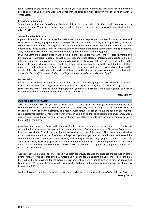teams working at the Marcelo 02 School in Dili this year was approximately \$230 000. It was such a joy to be able to be part of God's healing work in the lives of the children and wider community of our partner church in Timor-Leste.

#### **Everything in Common**

Team Timor hosted four *Everything in Common* stalls in December where Gift Cards and Christmas cards in support of UnitingWorld projects were made available for sale. The stalls were very well supported, and we raised \$1546.

#### **September Friendship visit**

A group of six visited Ekaristi in September 2019 – Paul, Luke and Stephen de Sauty, David Hunter and Noel and Noela Rothery. The group spent valuable time participating in church activities, attending worship, meetings, school, IPTL Synod, as well as sharing meals with members of the church. The Memorandum of Understand was updated and signed during a service of worship, and we confirmed our ongoing commitment to the partnership. They shared concerns about study and employment opportunities for their young people.

In Dili, we visited the Leprosy Mission Office, Alola Foundation, Chega Museum, Timor Resistance Archive and Museum, Dare Memorial Museum, as well as markets and other places of interest. We undertook a 2 day adventure south on rough roads in the mountains to visit Same Clinic. We met with the staff who took us to the home of the family who were featured in the Lent Event videos and saw firsthand the work the Clinic staff are doing in a remote village outside Same. It was a very moving experience to see the love and care shown to the people of the village as they help them with basic hygiene and healthcare. A spokeswoman for the village said: *"Since the clinic staff have been visiting our village, we have moved from darkness to light"*

#### **Further visits**

An invitation has been extended to Ekaristi Church to nominate two people to visit Glebe Road in 2020. Expressions of interest are sought from anyone who wishes to join the June/July 2020 Exposure Trip. Sincere thanks to the Team and to our congregation for your invaluable support and encouragement as we seek to stand insolidarity with our brothers and sisters in Timor Leste.

*Noel Rothery*

#### <span id="page-29-0"></span>**CAROLS IN THE PARK**

2019 was another successful year for Carols in the Park. Once again, we managed to engage with the local community through a variety of activities, sausage sizzle and carols, it was amazing to see the people walking to the carols from the surrounding streets. This year we were fortunate enough to have the addition of some precarols performances from S-Troop, who were very entertaining, and our dancing girls Mikayla Bruce, Emily Green and Ella Bruce. A big thank you to all of you for sharing your gifts and talents with those who came early to get their spot on the grass.

As with previous years the Carols in the Park was funded through the generosity of our church community and several fundraising events that occurred throughout the year. Carols also received a Christmas Events grant from the Ipswich City Council that contributed to covering the costs of the event. This once again enabled us to provide the community with a free event. A huge thank you must go out to all the volunteers who served the community in many different ways from cooking and serving at the BBQ, engaging with children in the craft area, delivering flyers, setting up stage and sound, and to those that were a part of the performance side of the Carols. Carols in the Park would not have been such a success without the support, encouragement and prayers of the church community.

A special thank you must go to Peter Francis who again generously donated and arranged the production of the flyers. Also, a very special thanks to Paul Green and his sound team (including Tim Jackson) for all of the time they put in (the full day) and for the extremely low prices they were willing to give us to hire the sound and lighting gear. We should also acknowledge Woolworths Collingwood Park store who generously donated items towards the BBQ.

We look forward to another year of sharing God's love with the community at this year's Carols in the Park. *Jeremy Bruce*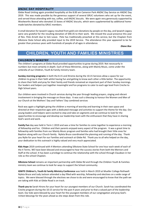#### <span id="page-30-0"></span>**ANZAC DAY HOSPITALITY**

Glebe Road Uniting again provided hospitality at the 8.00 am Cameron Park ANZAC Day Service on ANZAC Day 2019. This was made possible by the generous support of several GRUC volunteers who set up for the event, and served those attending with tea, coffee, and ANZAC biscuits. We were again very generously supported by Woolworths Booval who donated 15 boxes of ANZAC biscuits, which were supplemented by additional homemade batches donated by GRUC members.

A small donation for Ipswich Legacy resulted from gold coin donations by people on the day, and Ipswich Legacy were very grateful for the resulting donation of \$90.35 to their work. We missed the usual presence this year of Rev. Pete Arnett due to Sick Leave. Pete has traditionally preached at this service, but the Chaplain from Silkstone State School ably provided input to the 2019 Service. The attendance this year appeared to be far greater than previous years with hundreds of people of all ages in attendance.

*Diane Box*

## <span id="page-30-1"></span>CHILDREN, YOUTH AND FAMILIES MINISTRIES

#### <span id="page-30-2"></span>**CHILDREN'S MINSTRY**

The children's programs at Glebe Road provided opportunities to grow during 2019. Not necessarily in numbers but most certainly in depth. Each of these Ministries, along with Mainly Music, come under the umbrella of our Children, Youth & Family ministry team.

**Sunday morning programs** in both the 8.15 and Xtreme during the 10.15 Services allow a space for our children to grow in their faith whilst having fun and getting to know each other a little better. The opportunity to share their faith and pray for their family and friends remained an important part of their Sunday mornings. Our leaders and helpers put together meaningful and fun programs to cater to each age level from Creche to High School years.

Our children were involved in Church services during the year through leading prayers, singing and vibrant involvement in bringing the message on those days. It was such a blessing to honour the Women and Men of our Church at the Mothers' Day and Fathers' Day combined services

. Rock was again a highlight giving the children a morning of worship and learning in their own space and directed at their respective ages with a dedicated message and activities to support the theme for the day. Our young leaders and helpers were excited to step and take on segments and we continue to look for the opportunities to encourage and develop our leadership team with the enthusiasm that they have in sharing God's word and work.

**Family Fun** day was held in Term 1 2019 and was a time for families to come together to experience a morning of fellowship and fun. Children and their parents enjoyed every aspect of the program. It was a great time to fellowship with families from our Mainly Music program and families who had brought their little ones for Baptism along with our Church family. Nyleta Bruce coordinated the planning and running of the day. Thank you Nylie for your heart for our Families and outreach at Glebe Rd. Thank you to all who helped on the day, your dedication to this outreach is highly valued and very much appreciated.

**Kids Hope** 2019 continued with 4 Mentors attending Silkstone State School for one hour each week of each of the 4 Terms. WE have been blessed and encouraged to hear the success stories from both the Mentors and Staff at the school. It has been a privilege to continue the relationship with the school through Claudean in her role as the school Chaplain.

**Silkstone School** remains an important partnership with Glebe Rd and through the Children Youth & Families ministry team we continue to look for ways to support the School community.

**IGNITE Children's, Youth & Family Ministry Conference** was held in March 2019 at Mueller College Rothwell. Nyleta Bruce and Judy Jackson attended a day filled with worship, fellowship and electives on a wide range of topics. We were blessed through the electives we chose to do and were encouraged to know that the path we are taking with Kids at Glebe Road is on track.

**Thank you to** Sarah Hirons for your heart for our youngest members of our Church. Sarah has coordinated the Creche program during the 10:15 service for the past 4 years and prior to that a valued part of the leadership team. Our kids were blessed by your heart for the youngest members of our congregation and pray God's richest blessings for the years ahead as she steps down from this role.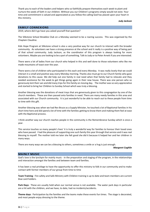Thank you to each of the leaders and helpers who so faithfully prepare themselves each week to plant and nurture the seeds of faith in our children. Without you our Children's programs simply would not exist. Your time and commitment is valued and appreciated as you follow the calling God has placed upon your heart in this ministry.

*Judy Jackson*

#### <span id="page-31-0"></span>**FAMILY CONNEXIONS**

2019, where did it go have you asked yourself that question?

The Silkstone School Breakkie Club on a Monday seemed to be a roaring success. This was organised by the Chaplain Claudine.

Kids Hope Program at Silkstone school is also a very positive way for our church to interact with the broader community. As volunteers we have a strong presence at the school and it really is a positive way of being part of that school community. Judy Jackson, as the coordinator of this program is always looking for more volunteers. Maybe you are looking to be a part of something. Talk to Judy or to Peter Arnett if you are interested.

There were a lot of ladies from our church who helped in this and well done to those volunteers who like me made mountains of toast over the year.

There were a lot of children who participated in this each and every Monday. It was really lovely that we could interact in a small and positive way every Monday morning. Thanks also must go to our Church family who gave donations to this cause. We did help out one family in real need when that family had to relocate and they needed assistance for the week to get things going again in their new house. There was one person who so generously lent their van and did many trips for this family on moving day. The mother was so very appreciative and started to bring her Children to Sunday School which was truly a blessing.

Another blessing was the donations of meat trays that are generously given to this congregation by one of the church members. These are then passed onto families in need. There are many needy families in this area and associated with our Church community. It is just wonderful to be able to reach out to these people from time to time with this gift.

Another blessing was when we had Rev Bruce as a Supply Minister, he touched a lot of Baptismal families in his short time here and did spend a lot of time with the families getting to know them and making them feel at ease with the Baptismal process.

I think another way our church reaches people in the community is the Remembrance Sunday which is once a year.

This service touches so many people's lives' it is truly a wonderful way for families to honour their loved ones who have passed. I had the pleasure of supporting one such family this year through that service and it was real blessing to myself. The mother told me later she felt good she did it because it helped her and her children in many ways.

There are many ways we can be a blessing to others, sometimes a smile or a hug is just enough.

#### *Margaret Coghlin*

#### <span id="page-31-1"></span>**MAINLY MUSIC**

God's love is the lynchpin for mainly music - in the preparation and staging of the program, in the relationships and interaction amongst the families and between team and families.

It has been a real privilege to have the opportunity to offer this ministry to folk in our community and to make contact with former members of our group from time to time

**Team Training**: Fire safety and Safe Ministry with Children training is up to date and team members are current blue card holders.

**Park Days:** These are usually held when our normal venue is not available. The water park days in particular are a hit with the children, and we have, to date, had no incidents/accidents.

**Theme days:** Participation by the families and the teams make these events fun times. The stage is decorated, and most people enjoy dressing to the theme.

.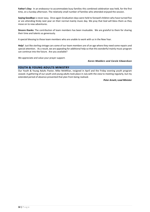**Father's Day:** In an endeavour to accommodate busy families this combined celebration was held, for the first time, on a Sunday afternoon. The relatively small number of families who attended enjoyed the session.

**Saying Goodbye** is never easy. Once again Graduation days were held to farewell children who have turned five or are attending Kindy next year on their normal mainly music day. We pray that God will bless them as they move on to new adventures.

**Sincere thanks**: The contribution of team members has been invaluable. We are grateful to them for sharing their time and talents so generously.

A special blessing to those team members who are unable to work with us in the New Year.

**Help!** Just like sterling vintage cars some of our team members are of an age where they need some repairs and special attention. As a result, we are appealing for additional help so that this wonderful mainly music program can continue into the future. Are you available?

We appreciate and value your prayer support.

#### *Karen Madders and Carole Edwardson*

#### <span id="page-32-0"></span>**YOUTH & YOUNG ADULTS MINISTRY**

Our Youth & Young Adults Pastor, Mike McMillan, resigned in April and the Friday evening youth program ceased. A gathering of our youth and young adults took place in July with the view to meeting regularly, but my extended period of absence prevented that plan from being realised.

*Peter Arnett, Lead Minister*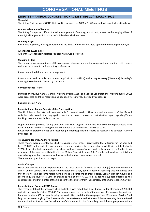## CONGREGATIONAL MEETINGS

#### <span id="page-33-1"></span><span id="page-33-0"></span>**MINUTES – ANNUAL CONGREGATIONAL MEETING 10 TH MARCH 2019**

#### **Welcome**

The Acting Chairperson of GRUC, Ruth Wilkins, opened the AGM at 11.00 am, and welcomed all in attendance.

#### **Acknowledgement of Country**

The Acting Chairperson offered the acknowledgement of country, and of past, present and emerging elders of the original indigenous inhabitants of this land on which we meet.

#### **Opening Prayer**

Rev. Bruce Raymond, offering supply during the illness of Rev. Peter Arnett, opened the meeting with prayer.

#### **Attendance & Apologies**

As per the Attendance/Apologies Register which was circulated.

#### **Standing Orders**

The congregation was reminded of the consensus voting method used at congregational meetings, with orange and blue cards used to indicate voting preferences.

It was determined that a quorum was present.

It was moved and seconded that the Acting Chair (Ruth Wilkins) and Acting Secretary (Diane Bos) for today's meeting be confirmed. Carried by consensus.

#### **Correspondence** None

**Minutes** of previous Annual General Meeting (March 2018) and Special Congregational Meeting (Sept. 2018) were presented and their reception and adoption were moved. Carried by consensus.

#### **Business arising**: None

#### **Presentation of Annual Reports of the Congregation**

The 2018 Annual Reports had been available for several weeks. They provided a summary of the life and activities undertaken by the congregation over the past year. It was noted that a further report regarding Venue Bookings was made available on the day.

Opportunity was provided for any questions, and Marg Coghlan noted that Page 30 of the report should have read 34 not 44 families as being on the roll, though that number has since risen to 37. It was moved, (Jeremy Bruce), and seconded (Phil Holmes) that the reports be received and adopted. Carried by consensus.

#### **Treasurer's Report & Auditor's Report**

These reports were presented by GRUC Treasurer Derek Hirons. Derek noted that offerings for the year had been \$18,000 under budget. However, due to various savings, the congregation was left with a deficit of only \$2000. A decision had been made to go ahead with various roof repairs and replacement, to be funded by an extension of the loan currently held with the Mutual Support Scheme. GRUC is able to draw down on this loan due to being ahead on payments, and because the loan had been almost paid off. There were no questions of this report.

#### **Auditor's Report**

Derek provided the auditor's report covering the three areas of (a) Glebe Garden Club (b) Women's Fellowship and (c) Church Council. The auditor remarks noted that a very good standard of reporting was maintained and that there were no concerns regarding the financial operations of these bodies. Colin Alexander moved, and seconded (Dave Hunter) a vote of thanks to the auditor R. W. Ramsey for the support offered to the congregation, and that a letter of thanks be sent to the auditor from the Secretary of the Congregation. Carried.

#### **Presentation of Proposed 2019 Budget**

The Treasurer tabled the proposed 2019 budget. It was noted that it was budgeting for offerings at \$200,000 and with an overall deficit of \$13,000. This was proposed on the basis of the average offering over the past year but does require a \$57 increase in giving per week. He noted that the congregation's Mission and Service Fund levy has decreased slightly. The Treasurer also made reference to the Redress Scheme, resulting from the Royal Commission into Institutional Sexual Abuse of Children, which is a Synod levy on all the congregations, with a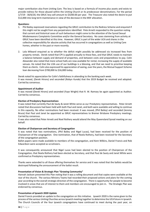major contribution also from Uniting Care. The levy is based on a formula of income plus assets and exists to provide redress for those abused within the Uniting Church or its predecessor denominations. For the period 1/7/19 - 30/6/20, the GRUC levy will amount to \$3200.00 per year. The Treasurer also noted the desire to put \$12,000 into long term maintenance in view of the decrease in the MSF allocation.

#### **Questions:**

- 1. Phil Bailey expressed reservations regarding the GRUC contribution to the Redress Scheme and enquired if this might not be sought from any perpetrators identified. Pete Arnett responded to the question noting that current and historical cases of such behaviours might come to the attention of the Synod Sexual Misdemeanors Complaints Committee and/or the General Secretary. No cases stemming from activity at GRUC have been identified at this time. However, GRUC is part of the wider UCA and shares in the collective responsibility for abusive activity that has occurred in congregations as well as Uniting Care homes, whether in the past or more recently.
- 2. Lola Milward enquired as to whether the deficit might possibly be addressed via increased fees from property rentals. Derek noted that CPI is applied annually to these fees, and that GRUC needs to maintain a balance between supply and demand of properties, and between costs and preparedness to pay. Colin Alexander also noted that more school halls are now available for rental, increasing the supply of available venues. He noted that the U3A use of our buildings is a blessing, and that we need to prioritise keeping them as clients. Colin also expressed his appreciation of seeing, over the years, the Mutual Support Scheme loan decreasing from \$700,000 to \$16,000 today.

Derek noted his appreciation for Colin's faithfulness in attending to the banking each week. It was moved, (Derek Hirons) and seconded (Robyn Kunde) that the 2019 Budget be received and adopted. Carried by consensus.

#### **Appointment of Auditor**

It was moved (Derek Hirons) and seconded (Faye Wright) that R. W. Ramsey be again appointed as Auditor. Carried by consensus.

#### **Election of Presbytery Representatives**

It was noted that currently Paul de Sauty & Janet White serve as our Presbytery representatives. Peter Arnett noted that discussions had been held with both Paul and Janet, and both were available and willing to continue in this capacity. No other nominations had been received. It was moved, (Phil Bailey) and seconded (Jeremy Bruce) that Paul and Janet be appointed as GRUC representatives to Bremer Brisbane Presbytery meetings. Carried by consensus.

It was also noted that Peter Arnett and Noel Rothery would attend the May Queensland Synod meeting on our behalf.

#### **Election of Chairperson and Secretary of Congregation**

It was noted that two nominations, (Phil Bailey and Nigel Lucas), had been received for the position of Chairperson of the congregation. One nomination, that of Noela Rothery, had been received for the Secretary of the congregation position.

Ballot papers were made available to members of the congregation, and Kent Wilkins, Daniel Francis and Rob Edwardson were accepted as scrutineers.

It was consequently announced that Nigel Lucas had been elected to the position of Chairperson of the Congregation, that Noela Rothery had been elected as Secretary, and that Paul de Sauty and Janet White were confirmed as Presbytery representatives.

Thanks were extended to all those offering themselves for service and it was noted that the ballots would be destroyed following the announcement of the ballot result.

#### **Presentation of Vision & Strategic Plan "Growing Community"**

Hannah Jackson presented this Plan noting that it was a rolling document and that copies were available at the rear of the church. The various Ministry Teams had recorded their proposed actions and plans for the coming year according to the overall strategic direction of the congregation. There is opportunity for people to become involved in areas that are of interest to them and members are encouraged to join in. The Strategic Plan was endorsed by consensus.

#### **Presentation of Ipswich 2020 Update**

Daniel Francis provided an update to the congregation on this initiative. Ipswich 2020 is the name given to the process of the various Uniting Churches across Ipswich meeting together to determine the UCA future in Ipswich. The Church Councils of the four Ipswich congregations have continued to meet during the past year, on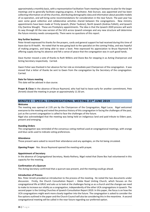approximately a monthly basis, with a representative Facilitation Team meeting in between to plan for the larger meetings and to generally facilitate ongoing progress. A facilitator, Rob Duncan, was appointed and has been collecting information on all the churches, distributing demographic data and information about possible models of co-operation, and will bring some recommendations for consideration in the near future. The past year has seen some good collective and collaborative activities shared between the congregations. New ministry appointments have been made at Trinity Ipswich, (Peter Taubner), North Ipswich (Andrea Follett), and Ipswich City (Santina Waugh). These are Presbytery appointments. The idea is that the Ipswich 2020 process will work its way through till the new version of the UCA across Ipswich emerges and any new structure will determine the future ministry needs consequently. There were no questions of this report.

#### **Any further business**

Peter Arnett expressed his thanks for the prayers, cards and general support he had received during this time of leave due to ill-health. He noted that he was going back to the specialist on the coming Friday, and was hopeful of making progress, and being able to wear a boot. Pete expressed his appreciation to Bruce Raymond for offering supply during his absence and felt a sense of peace that the congregation was in such good hands.

Dave Hunter moved a vote of thanks to Ruth Wilkins and Diane Bos for stepping in as Acting Chairperson and Acting Secretary respectively. Carried.

Gwen Fisher was thanked in her absence for her role as immediate past Chairperson of the congregation. It was moved that a letter of thanks be sent to Gwen from the congregation by the Secretary of the congregation. Carried.

#### **Date for future meeting**

This date will be advised in due course.

**Prayer & Close** In the absence of Bruce Raymond, who had had to leave early for another commitment, Pete (Arnett) closed the meeting in prayer at approximately 11.50 am.

#### <span id="page-35-0"></span>**MINUTES – SPECIAL CONGREGATIONAL MEETING 23rd JUNE 2019**

#### **Welcome**

The meeting was opened at 2.05 pm by the Chairperson of the Congregation, Nigel Lucas. Nigel welcomed everyone to the meeting and noted the previous history of this congregation in facing the challenges of the past, just as the current congregation is called to face the challenges of the future.

Nigel also acknowledged that the meeting was being held on indigenous land and paid tribute to Elders past, present and emerging.

#### **Standing Orders**

The congregation was reminded of the consensus voting method used at congregational meetings, with orange and blue cards used to indicate voting preferences.

#### **Attendance**

Those present were asked to record their attendance and any apologies, on the list being circulated.

**Opening Prayer** Rev. Bruce Raymond opened the meeting with praye**r.**

#### **Appointment of Secretary**

In the absence of Congregational Secretary, Noela Rothery, Nigel noted that Diane Bos had volunteered in this capacity for the meeting.

#### **Confirmation of a Quorum**

The Acting Secretary confirmed that a quorum was present, and the meeting could go ahead.

#### **Introduction of Process**

Rev. Peter Arnett provided an introduction to the process of the meeting. He noted the two documents under discussion. Firstly, the Church Consultation Report – Glebe Road Uniting Church, which focuses on the congregational life at GRUC and asks us to look at the challenges facing us as a church and the changes we need to make to increase our vitality as a congregation, independently of the other UCA congregations in Ipswich. The second paper is the Uniting Churches of Ipswich Consultation Report 2019. In this paper, the focus is on how the UCA congregations might work more closely together into the future. The congregation is asked to consider the five options outlined in the paper and the Church Council will also be considering this in the meantime. A second congregational meeting will be called in the near future regarding our preferred option.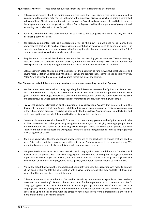**Questions & Answers** Pete asked for questions from the floor, in response to this material.

- Colin Alexander asked about the definition of a disciple and their role, given discipleship was referred to frequently in the papers. Pete replied that some of the aspects of discipleship included being a committed follower of Jesus Christ, being a witness to the truth of the Gospel, and using ones skills and talents to serve the Kingdom and nurture the growth of others. Bruce Raymond added the imperative of going out and expanding the proclamation of the Gospel.
- Bev Bruce commented that there seemed to be a call to be evangelists implied in the way that the discipleship term was used.
- Ros Rooney commented that, as a congregation, we do this now do we need to do more? Pete acknowledged that we do much of this activity at present, but perhaps we need to be more explicit. For example, small group involvement was crucial to forming disciples, but only a small percentage of the GRUC congregation was involved with small groups at present.
- Greg Seymour commented that the issue was more than just creating greater numbers. Twenty years ago, there was twice the number of members of GRUC, but that has not been enough to sustain the membership to the present day. Simply finding more members seems insufficient to address the problem.
- Colin Alexander noted that some of the activities of the past such as running Alpha/Bethel Courses, and having more visitation undertaken by the Elders, as was the practice then, seems to keep people involved. Peter Arnett affirmed the value of such courses within the life of the church.

#### **The Chairperson asked if there were any questions or comments regarding the actual Options.**

- Bev Bruce felt there was a lack of clarity regarding the differences between the Options and Pete Arnett then spent some time clarifying the descriptions of the 5. Bev asked how we thought these models were going to address challenges we face as a church and Pete noted that unless we have a focus on the issue of discipleship, and unless each congregation is committed to change, then nothing will change.
- Fay Wright asked for clarification on the question of a congregational "coach" that is referred to in the document. Pete noted that Rob Duncan is fulfilling this role at present as part of assisting congregations in their discernment process. This is being paid for by the Presbytery. Any future role is not locked in and each congregation will decide if they need further assistance into the future.
- Dave Murphy commented that he couldn't understand how the suggestions in the Options would fix the problem. Dave saw the challenge as being an age issue – we are just not bringing in younger people. Pete enquired whether this reflected an unwillingness to change. GRUC has some young people, but Pete suggested that having the heart and willingness to undertake the changes needed to make congregational life vital again was crucial.
- Bev Bruce asked what the Church Council and Minister see as the blockages to change that we need to face. Pete replied that there may be many different issues. Perhaps we need to be more welcoming. We are not fully aware yet of blockage points and will continue to explore this.
- Margaret Bastin asked what the process was with each congregation. Pete noted that each Church Council decides what the process with their own congregation and would be pursuing this. Margaret noted the importance of more prayer and fasting, and Pete noted the initiative of a 24 hr prayer vigil with the involvement of all the UCA congregations across Ipswich, with Peter Taubner helping to facilitate this.
- Phil Bailey noted that within the Church Council about 20 years ago, the suggestion was made to contact all the people who had left the congregation with a view to finding out why they had left. Phil was not aware that this had ever been carried through.
- Colin Alexander enquired whether Rob Duncan had found any solutions to these problems how do these ideas work out practically? Pete said he was not sure of Rob's experience of this. He noted that Rob's "language", given he was from the Salvation Army, was perhaps not reflective of where we are as a congregation. Rob has been greatly influenced by the Shift MtoM course originating in Victoria. Pete has also signed up to do this course, with the direction reflecting a move from a programmatic church into more of an emphasis on making disciples.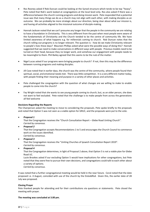- Ros Rooney asked if Rob Duncan could be looking at the Synod structure which tends to be top "heavy". Pete noted that Rob's work looked at congregations at the local level only. Ros also asked if there was a difference between the church running programs and doing mission work. Pete responded that a potential issue was that many things we do as a church may not align with each other, with making disciples as an outcome. We can probably be more strategic about our direction, being clear about what our mission is, and having all activities aligned to the missional outcome of disciple-making.
- Hannah Jackson noted that we can't presume any longer that the people in the community we are relating to have a foundation in Christianity. This is very different from the past when most people were aware of the fundamentals of Christianity and the Church tended to be the centre of community life. We have limited awareness of what happens e.g. for millennials coming to church. Rob Duncan notes that the church rolling out programs is no longer relevant. The question is - how do we make Christianity relevant to people's lives these days? Maureen Phillips asked what were the possible ways of doing this? Hannah suggested that we need to make conversations in different ways with people. Previous models need to be turned on their head, because they no longer work, and somehow our engagement with people needs to be meaningful to them. Phil Bailey agreed that this seems to be the nub of the matter.
- Nigel Lucas asked if our programs were bringing people to church? If not, then this may be the difference between running programs and making disciples.
- Jill Case noted that in earlier days, the church was the centre of the community, where people found their spiritual, social, and emotional needs met. There was little competition. It is a very different matter today, with people finding their meaning and purpose in a variety of other places and activities.
- Pete challenged the congregation with the question of what changes are we willing to make to enable people to come into the church?
- Fay Wright noted that she wants to see young people coming to church, but, as an older person, she does not want to feel excluded. Pete noted that the challenge is to make people from across the generations all feel welcome

#### **Decisions Regarding the Reports**

The Chairperson asked the meeting to move to considering the proposals. Pete spoke briefly to the proposals and noted that Option 5 was not seen as a viable option for GRUC, and the proposals were put to the vote.

• *Proposal 1*

That the Congregation receives the "Church Consultation Report – Glebe Road Uniting Church". *Carried by consensus.*

• *Proposal 2*

That the Congregation accepts Recommendations 1 to 5 and encourages the Church Council to commence work on the issues identified.

*Carried by consensus.* • *Proposal 3*

That the Congregation receives the "Uniting Churches of Ipswich Consultation Report 2019". *Carried by consensus.*

• *Proposal 4*

That the Congregation determines, in light of Proposal 2 above, that Option 5 is not a viable plan for Glebe Road UC.

Lucie Brookes asked if our excluding Option 5 would have implications for other congregations, but Pete noted that they were free to pursue their own decisions, and congregations could talk to each other about a variety of options.

*Carried by consensus.*

It was noted that a further congregational meeting would be held in the near future. Coral noted that the date proposed i.e. 4 August, coincided with use of the church by the Eisteddfod. Given this, the earlier date of 28 July was proposed.

#### **Closing Prayer**

Pete thanked people for attending and for their contributions via questions or statements. Pete closed the meeting with prayer.

**The meeting was concluded at 3.00 pm.**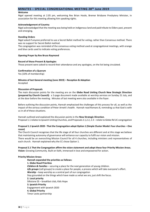#### <span id="page-38-0"></span>**MINUTES – SPECIAL CONGREGATIONAL MEETING 28th June 2019**

#### **Welcome**

Nigel opened meeting at 2.05 pm, welcoming Rev Brian Hoole, Bremer Brisbane Presbytery Minister, in association for this meeting allowing him speaking rights.

#### **Acknowledgement of Country**

Nigel acknowledged that the meeting was being held on indigenous land and paid tribute to Elders past, present and emerging.

#### **Standing Orders**

Nigel asked if anyone preferred to use a Secret Ballot method for voting, rather than Consensus method. There was no support for Secret Ballot method.

The congregation was reminded of the consensus voting method used at congregational meetings, with orange and blue cards used to indicate voting preferences.

#### **Opening Prayer by Rev Bruce Raymond**

#### **Record of those Present & Apologies**

Those present were asked to record their attendance and any apologies, on the list being circulated.

#### **Confirmation of a Quorum**

Yes (10% of membership)

#### **Minutes of last General meeting (June 2019) – Reception & Adoption** Accepted

#### **Discussion of Proposals**

The main discussion points for the meeting are on the **Glebe Road Uniting Church New Strategic Direction (prepared by Church Council):** a 2-page document made available at worship services on Sunday 21 July, and at the door before the meeting. Minutes of last meeting were also available in the foyer.

Before outlining the discussion points, Hannah emphasised the challenges of this process for all, as well as the impact of the serious condition of Peter Arnett's health. Hannah read Romans 8, reminding us that God is with us in all of these situations.

Hannah outlined and explained the discussion points in the **New Strategic Direction**. Proposal 1.1 relates to Ipswich Uniting Churches, and Proposals 2.1,2.2, 2.3 – relate to Glebe Rd UC congregation

#### **Proposal 1.1 Ipswich 2020 - That the Congregation adopt Option 1 (Simple Cluster Model: Four churches – One cause)**

The Church Council recognises that the life stage of all four churches are different and at this stage we believe that maintaining autonomy of governance will enhance our capacity to fulfil our vision and mission.

There would be an overarching Mission Council for all 4 churches, including ministers and representatives of each church. Hannah explained why the CC chose Option 1.

#### **Proposal 2.1 That the Congregation affirm the vision statement and adopt these four Priority Mission Areas. Vision:** Growing Community. Built on faith, immersed in love and empowered for action.

#### **Priority Mission Areas:**

**Hannah expanded the priorities as follows: 1. Glebe Road Priorities** *Children & Families* – securing a place for the next generation of young children. *Life groups* (cell groups) to create a place for people, a process which will take everyone's effort. *Worship* – keep worship as a central part of our congregation Stay grounded on the things which have made us what we are, just shift the focus. **2. Local priority** Silkstone SS – breakfast club, Kids Hope **3. Ipswich Priority** Engagement with Ipswich 2020 **4. Global Priority** Timor Leste partnership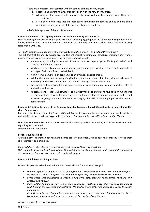There are 3 processes that coincide with the setting of these priority areas:

- 1. Encouraging existing ministry groups to align with the new priority areas.
- 2. Allowing existing unsustainable ministries to finish well and to celebrate what they have accomplished.
- 3. Establish new ministries that are specifically aligned with and focused on one or more of the priority areas and grow out of the passion of church members.

All of this is a process of shared discernment.

#### **Proposal 2.2 Endorse the aligning of ministries with the Priority Mission Areas**

We acknowledge that discipleship is primarily about encouraging people in the journey of being a follower of Christ, which includes both personal faith and living life in a way that draws others into a life-transforming relationship with God.

#### *This addresses Recommendation 2 of the Church Consultation Report – Glebe Road Uniting Church*

The fulfillment of the priority mission areas will be enhanced by alignment of structure, enabling a shift from a programs focus to a discipleship focus. This ongoing work will include:

- and oversight, including in the areas of pastoral care, worship and group life. (e.g. Church Council structure and the role of elders)
- Working to create dynamic, inspiring and engaging worship services that are accessible to people of all stages of faith and focus on discipleship.
- A shift from an emphasis on programs, to an emphasis on relationships.
- Valuing the investment of people's giftedness, time and energy, into life giving experiences of leadership and service, rather than the treadmill of obligation and exhaustion.
- Developing and identifying training opportunities for each person to grow and flourish in roles of leadership and service.
- An assessment of leadership structures and ministry teams to ensure effective decision making This is a medium-term process. The next stage will be for a timeline of various steps to be drafted and actioned. Ongoing communication with the congregation will be an integral part of this process going forward.

#### **Proposal 2.3 Affirm the work of the Resource Ministry Team and Church Council in the stewardship of the church's resources.**

Encourage the Resource Ministry Team and Church Council to explore other avenues of resourcing the ministry and mission of the church, as suggested in the *Church Consultation Report – Glebe Road Uniting Church*.

**Questions & Answers** Bruce, Hannah, Ruth & Daniel formed a panel for the meeting was invited to ask questions regarding each proposal.

Some of the questions were:

#### **Proposal 1.1 questions**

Are the 3 other churches undertaking the same process, and what Options have they chosen? How do their choices impact on our choice?

*Ruth said that if other churches choose Option 2, then we will have to go to Option 3. With Option 1 the overarching Mission Council for all 4 churches, including ministers and representative members of each church. Our own governance will remain independent.*

#### **Proposal 2.1 & Proposal 2.2 questions**

How is **Discipleship** to be done? What is it in practice? Aren't we already doing it?

- *Hannah highlighted Proposal 2.2: Discipleship is about encouraging people to come into their own faith, to grow, and then to evangelise. We need to move forward, finding new structures and ways.*
- *Bruce noted that Discipleship is already being done here, creating relationships, nurturing and encouraging children.*
- Ruth said that Rob Duncan talks about training pathways putting steps in place to help congregations *work through the processes of discipleship. We need to make deliberate decisions to relate to people not programs.*
- *Brian Hoole said when Norma Spear was here there was energy – and some of that is now lost. There is a culture and history which can be recaptured - but not by reliving the past.*

Other comments from the floor were: